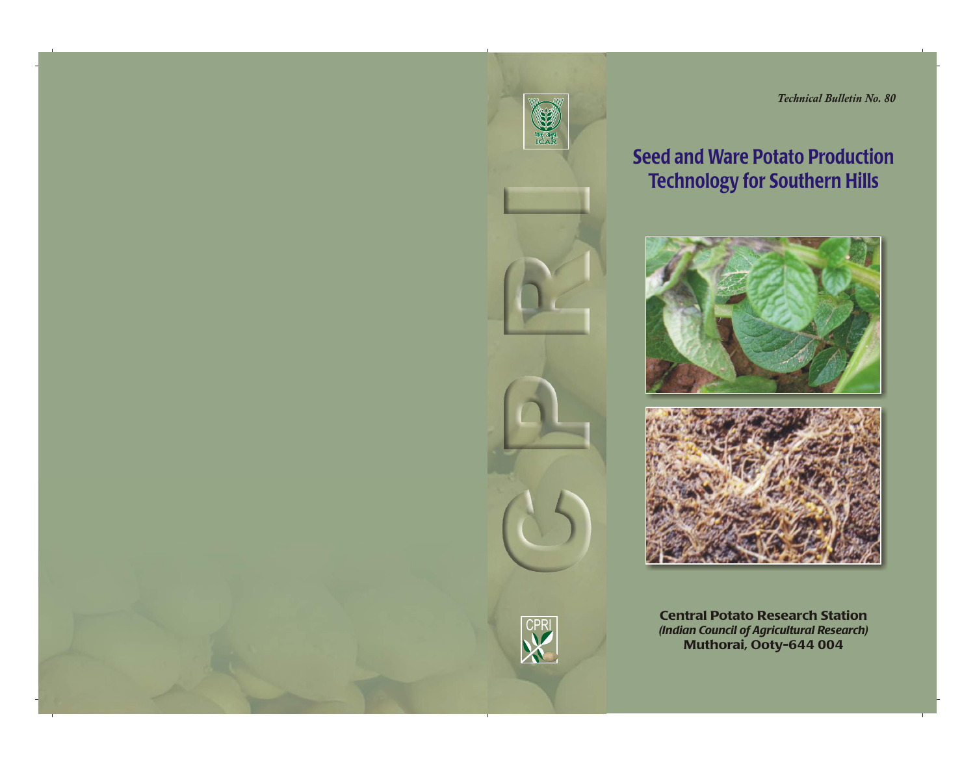



*Technical Bulletin No. 80*

# Seed and Ware Potato Production Technology for Southern Hills





Central Potato Research Station *(Indian Council of Agricultural Research)* Muthorai, Ooty-644 004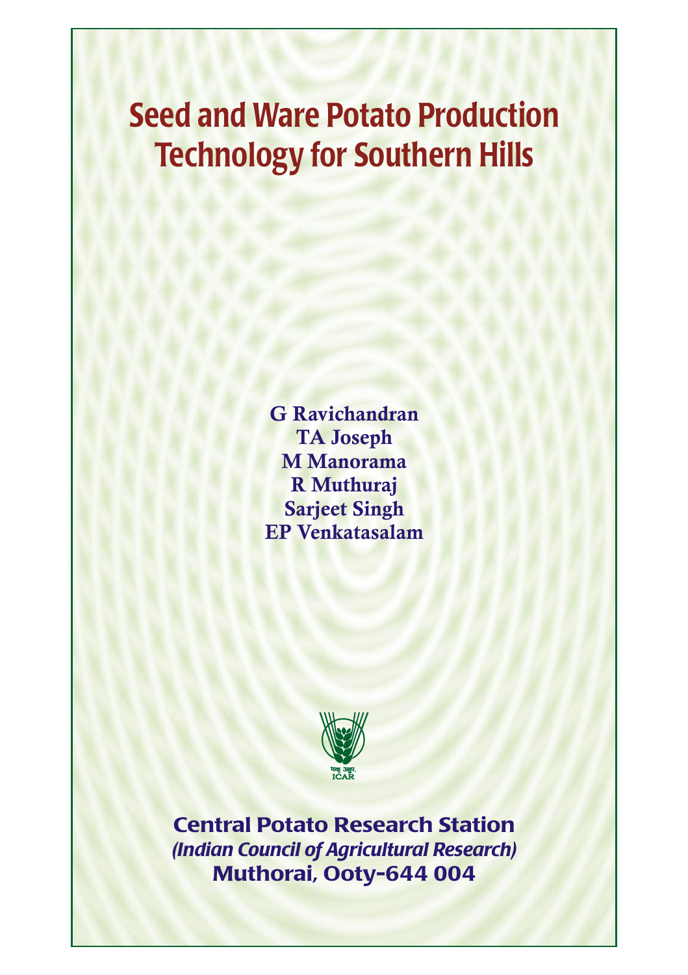# Seed and Ware Potato Production Technology for Southern Hills

**G Ravichandran TA Joseph M Manorama R Muthuraj Sarjeet Singh EP Venkatasalam**



Central Potato Research Station *(Indian Council of Agricultural Research)* Muthorai, Ooty-644 004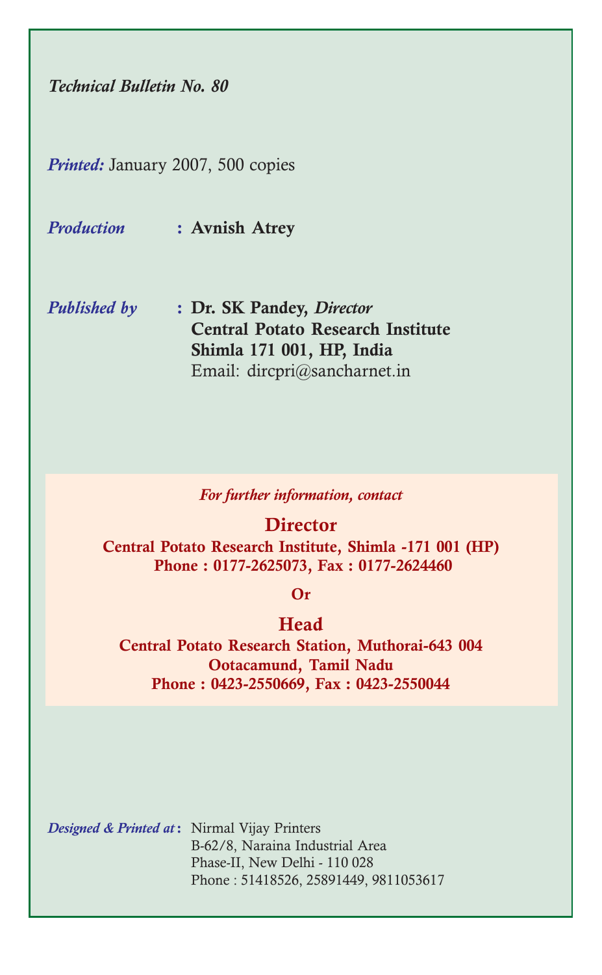Technical Bulletin No. 80

Printed: January 2007, 500 copies

Production : Avnish Atrey

Published by : Dr. SK Pandey, Director Central Potato Research Institute Shimla 171 001, HP, India Email: dircpri@sancharnet.in

For further information, contact

**Director** 

Central Potato Research Institute, Shimla -171 001 (HP) Phone : 0177-2625073, Fax : 0177-2624460

Or

#### Head

Central Potato Research Station, Muthorai-643 004 Ootacamund, Tamil Nadu Phone : 0423-2550669, Fax : 0423-2550044

Designed & Printed at: Nirmal Vijay Printers B-62/8, Naraina Industrial Area Phase-II, New Delhi - 110 028 Phone : 51418526, 25891449, 9811053617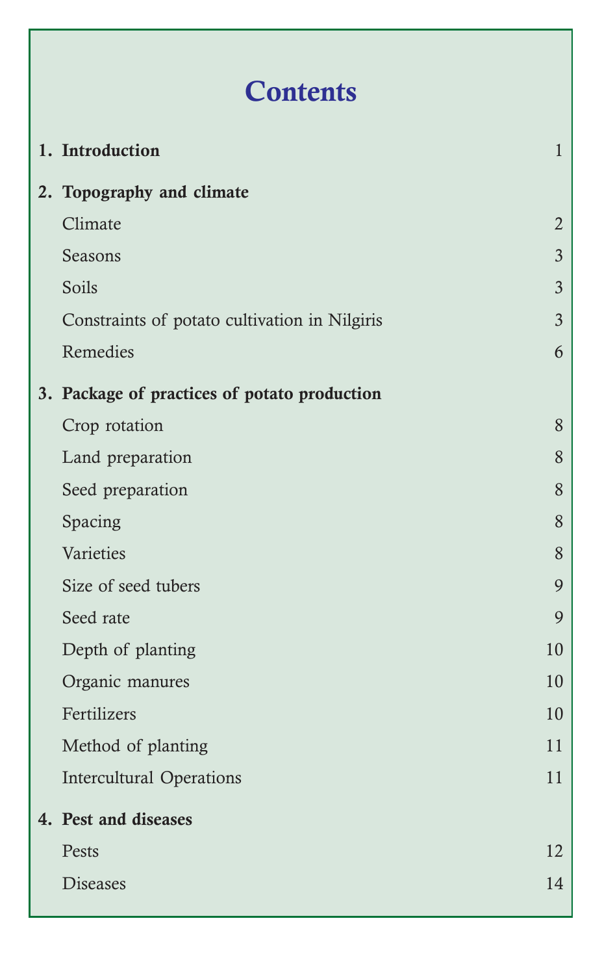| 1. Introduction                               | $\mathbf{1}$   |
|-----------------------------------------------|----------------|
| 2. Topography and climate                     |                |
| Climate                                       | $\overline{2}$ |
| Seasons                                       | 3              |
| Soils                                         | 3              |
| Constraints of potato cultivation in Nilgiris | $\overline{3}$ |
| Remedies                                      | 6              |
| 3. Package of practices of potato production  |                |
| Crop rotation                                 | 8              |
| Land preparation                              | 8              |
| Seed preparation                              | 8              |
| Spacing                                       | 8              |
| Varieties                                     | 8              |
| Size of seed tubers                           | 9              |
| Seed rate                                     | 9              |
| Depth of planting                             | 10             |
| Organic manures                               | 10             |
| Fertilizers                                   | 10             |
| Method of planting                            | 11             |
| <b>Intercultural Operations</b>               | 11             |
| 4. Pest and diseases                          |                |
| Pests                                         | 12             |
| <b>Diseases</b>                               | 14             |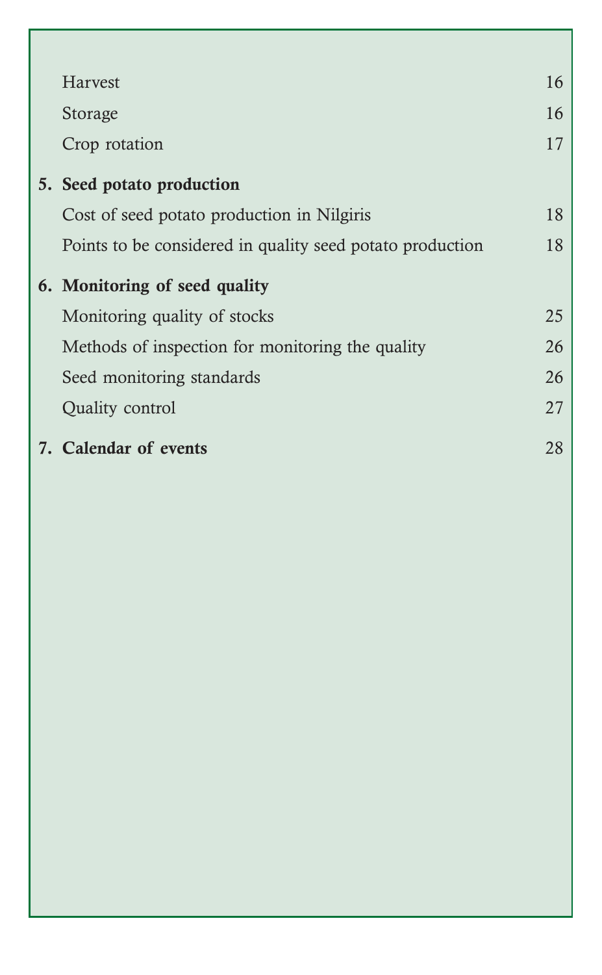| Harvest                                                   | 16 |
|-----------------------------------------------------------|----|
| Storage                                                   | 16 |
| Crop rotation                                             | 17 |
| 5. Seed potato production                                 |    |
| Cost of seed potato production in Nilgiris                | 18 |
| Points to be considered in quality seed potato production | 18 |
| 6. Monitoring of seed quality                             |    |
| Monitoring quality of stocks                              | 25 |
| Methods of inspection for monitoring the quality          | 26 |
| Seed monitoring standards                                 | 26 |
| Quality control                                           | 27 |
| 7. Calendar of events                                     | 28 |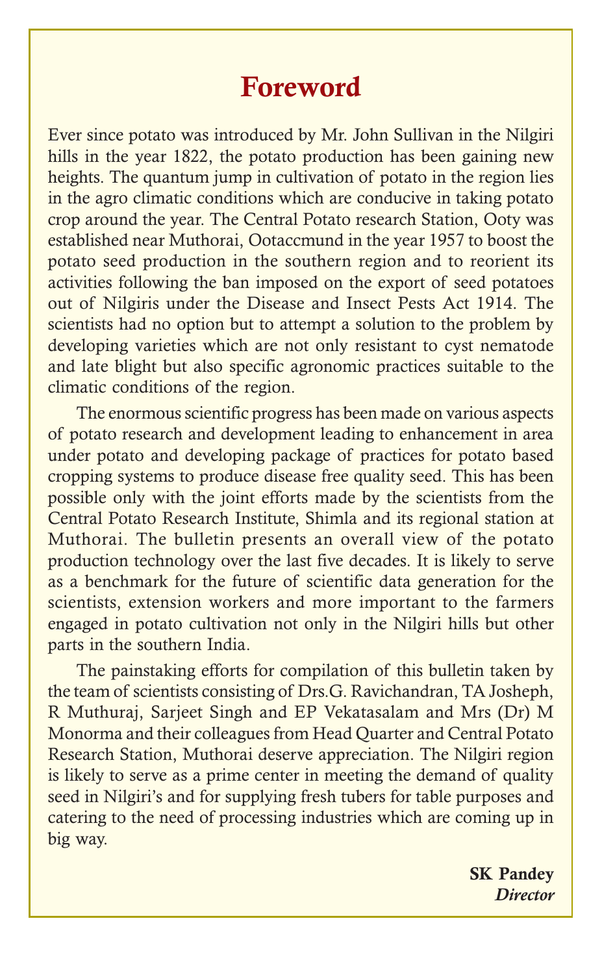# Foreword

Ever since potato was introduced by Mr. John Sullivan in the Nilgiri hills in the year 1822, the potato production has been gaining new heights. The quantum jump in cultivation of potato in the region lies in the agro climatic conditions which are conducive in taking potato crop around the year. The Central Potato research Station, Ooty was established near Muthorai, Ootaccmund in the year 1957 to boost the potato seed production in the southern region and to reorient its activities following the ban imposed on the export of seed potatoes out of Nilgiris under the Disease and Insect Pests Act 1914. The scientists had no option but to attempt a solution to the problem by developing varieties which are not only resistant to cyst nematode and late blight but also specific agronomic practices suitable to the climatic conditions of the region.

The enormous scientific progress has been made on various aspects of potato research and development leading to enhancement in area under potato and developing package of practices for potato based cropping systems to produce disease free quality seed. This has been possible only with the joint efforts made by the scientists from the Central Potato Research Institute, Shimla and its regional station at Muthorai. The bulletin presents an overall view of the potato production technology over the last five decades. It is likely to serve as a benchmark for the future of scientific data generation for the scientists, extension workers and more important to the farmers engaged in potato cultivation not only in the Nilgiri hills but other parts in the southern India.

The painstaking efforts for compilation of this bulletin taken by the team of scientists consisting of Drs.G. Ravichandran, TA Josheph, R Muthuraj, Sarjeet Singh and EP Vekatasalam and Mrs (Dr) M Monorma and their colleagues from Head Quarter and Central Potato Research Station, Muthorai deserve appreciation. The Nilgiri region is likely to serve as a prime center in meeting the demand of quality seed in Nilgiri's and for supplying fresh tubers for table purposes and catering to the need of processing industries which are coming up in big way.

> SK Pandey **Director**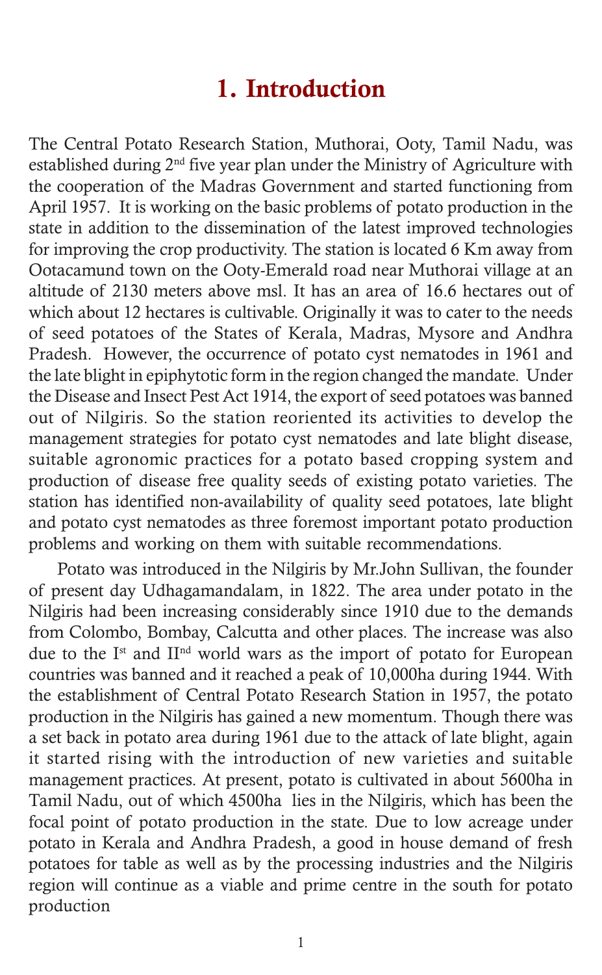# 1. Introduction

The Central Potato Research Station, Muthorai, Ooty, Tamil Nadu, was established during 2nd five year plan under the Ministry of Agriculture with the cooperation of the Madras Government and started functioning from April 1957. It is working on the basic problems of potato production in the state in addition to the dissemination of the latest improved technologies for improving the crop productivity. The station is located 6 Km away from Ootacamund town on the Ooty-Emerald road near Muthorai village at an altitude of 2130 meters above msl. It has an area of 16.6 hectares out of which about 12 hectares is cultivable. Originally it was to cater to the needs of seed potatoes of the States of Kerala, Madras, Mysore and Andhra Pradesh. However, the occurrence of potato cyst nematodes in 1961 and the late blight in epiphytotic form in the region changed the mandate. Under the Disease and Insect Pest Act 1914, the export of seed potatoes was banned out of Nilgiris. So the station reoriented its activities to develop the management strategies for potato cyst nematodes and late blight disease, suitable agronomic practices for a potato based cropping system and production of disease free quality seeds of existing potato varieties. The station has identified non-availability of quality seed potatoes, late blight and potato cyst nematodes as three foremost important potato production problems and working on them with suitable recommendations.

Potato was introduced in the Nilgiris by Mr.John Sullivan, the founder of present day Udhagamandalam, in 1822. The area under potato in the Nilgiris had been increasing considerably since 1910 due to the demands from Colombo, Bombay, Calcutta and other places. The increase was also due to the Ist and IInd world wars as the import of potato for European countries was banned and it reached a peak of 10,000ha during 1944. With the establishment of Central Potato Research Station in 1957, the potato production in the Nilgiris has gained a new momentum. Though there was a set back in potato area during 1961 due to the attack of late blight, again it started rising with the introduction of new varieties and suitable management practices. At present, potato is cultivated in about 5600ha in Tamil Nadu, out of which 4500ha lies in the Nilgiris, which has been the focal point of potato production in the state. Due to low acreage under potato in Kerala and Andhra Pradesh, a good in house demand of fresh potatoes for table as well as by the processing industries and the Nilgiris region will continue as a viable and prime centre in the south for potato production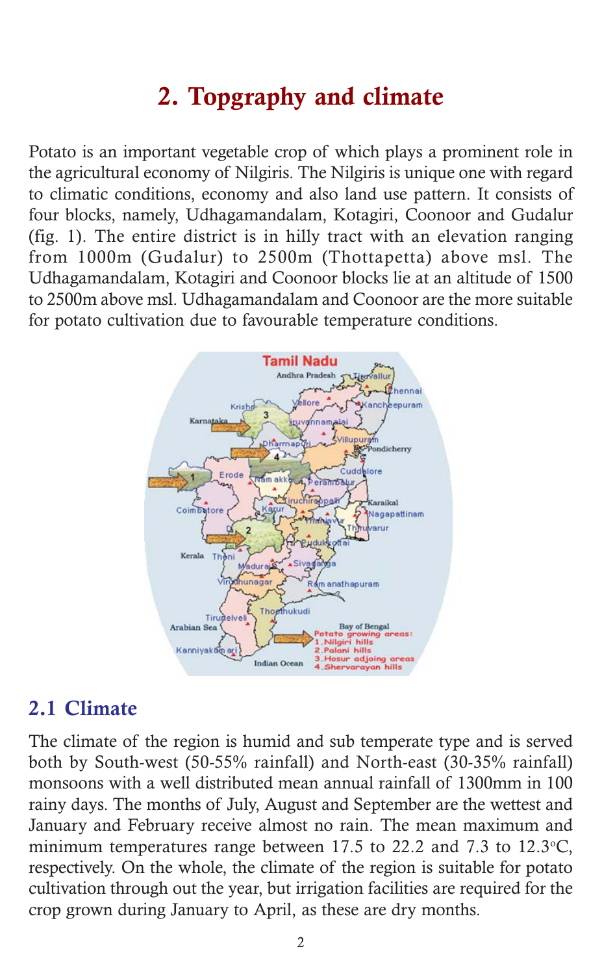# 2. Topgraphy and climate

Potato is an important vegetable crop of which plays a prominent role in the agricultural economy of Nilgiris. The Nilgiris is unique one with regard to climatic conditions, economy and also land use pattern. It consists of four blocks, namely, Udhagamandalam, Kotagiri, Coonoor and Gudalur (fig. 1). The entire district is in hilly tract with an elevation ranging from 1000m (Gudalur) to 2500m (Thottapetta) above msl. The Udhagamandalam, Kotagiri and Coonoor blocks lie at an altitude of 1500 to 2500m above msl. Udhagamandalam and Coonoor are the more suitable for potato cultivation due to favourable temperature conditions.



#### 2.1 Climate

The climate of the region is humid and sub temperate type and is served both by South-west (50-55% rainfall) and North-east (30-35% rainfall) monsoons with a well distributed mean annual rainfall of 1300mm in 100 rainy days. The months of July, August and September are the wettest and January and February receive almost no rain. The mean maximum and minimum temperatures range between  $17.5$  to  $22.2$  and  $7.3$  to  $12.3$ °C, respectively. On the whole, the climate of the region is suitable for potato cultivation through out the year, but irrigation facilities are required for the crop grown during January to April, as these are dry months.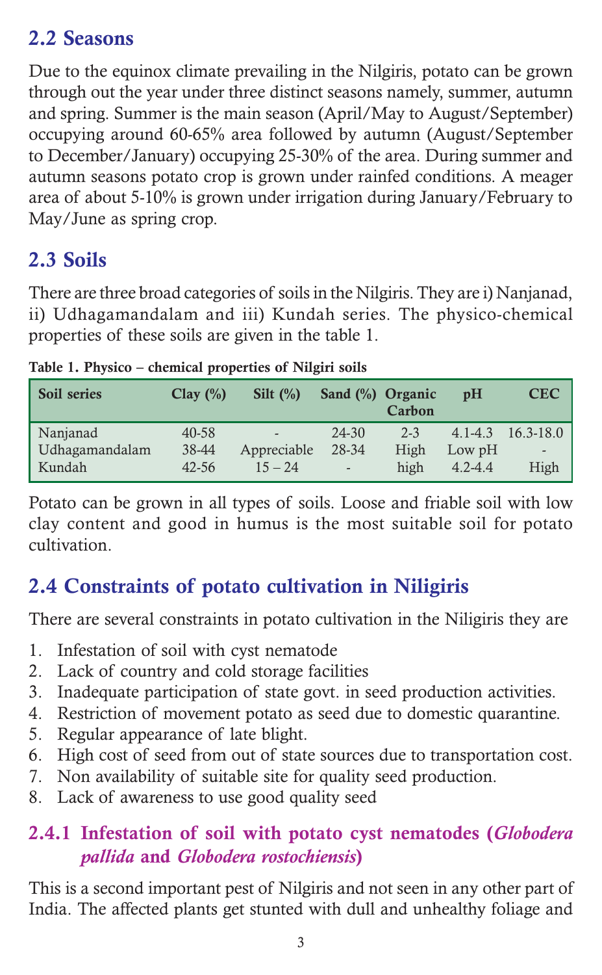#### 2.2 Seasons

Due to the equinox climate prevailing in the Nilgiris, potato can be grown through out the year under three distinct seasons namely, summer, autumn and spring. Summer is the main season (April/May to August/September) occupying around 60-65% area followed by autumn (August/September to December/January) occupying 25-30% of the area. During summer and autumn seasons potato crop is grown under rainfed conditions. A meager area of about 5-10% is grown under irrigation during January/February to May/June as spring crop.

# 2.3 Soils

There are three broad categories of soils in the Nilgiris. They are i) Nanjanad, ii) Udhagamandalam and iii) Kundah series. The physico-chemical properties of these soils are given in the table 1.

| Soil series    | Clay $(\% )$ | Silt $(\%)$    | Sand $(\%)$ Organic | Carbon  | pH          | <b>CEC</b>               |
|----------------|--------------|----------------|---------------------|---------|-------------|--------------------------|
| Nanjanad       | 40-58        | $\overline{a}$ | $24 - 30$           | $2 - 3$ | $4.1 - 4.3$ | $16.3 - 18.0$            |
| Udhagamandalam | 38-44        | Appreciable    | 28-34               | High    | Low pH      | $\overline{\phantom{0}}$ |
| Kundah         | $42 - 56$    | $15 - 24$      | $\overline{a}$      | high    | $4.2 - 4.4$ | High                     |

Table 1. Physico – chemical properties of Nilgiri soils

Potato can be grown in all types of soils. Loose and friable soil with low clay content and good in humus is the most suitable soil for potato cultivation.

# 2.4 Constraints of potato cultivation in Niligiris

There are several constraints in potato cultivation in the Niligiris they are

- 1. Infestation of soil with cyst nematode
- 2. Lack of country and cold storage facilities
- 3. Inadequate participation of state govt. in seed production activities.
- 4. Restriction of movement potato as seed due to domestic quarantine.
- 5. Regular appearance of late blight.
- 6. High cost of seed from out of state sources due to transportation cost.
- 7. Non availability of suitable site for quality seed production.
- 8. Lack of awareness to use good quality seed

### 2.4.1 Infestation of soil with potato cyst nematodes (Globodera pallida and Globodera rostochiensis)

This is a second important pest of Nilgiris and not seen in any other part of India. The affected plants get stunted with dull and unhealthy foliage and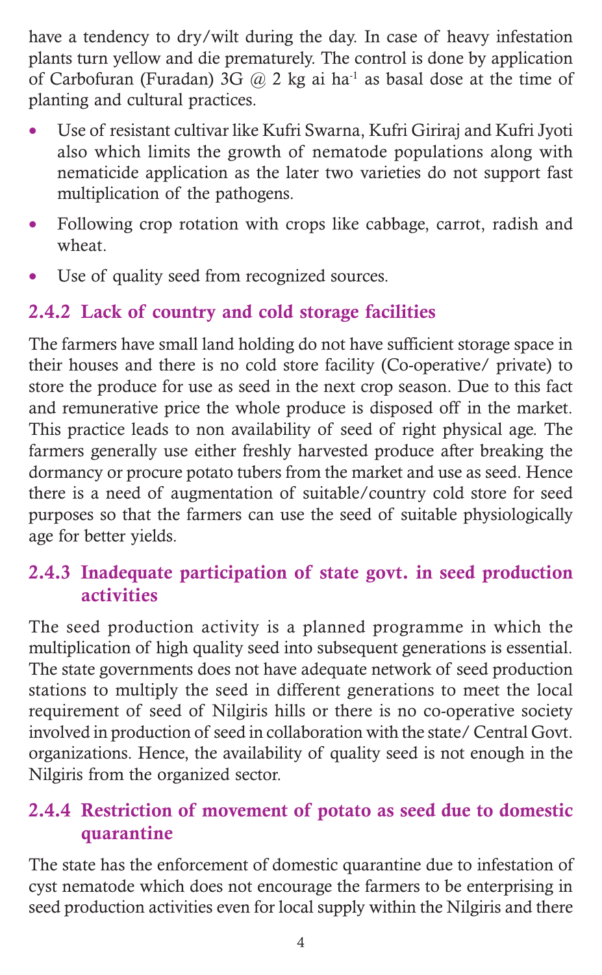have a tendency to dry/wilt during the day. In case of heavy infestation plants turn yellow and die prematurely. The control is done by application of Carbofuran (Furadan) 3G  $(0, 2 \text{ kg} \text{ ai ha}^{-1} \text{ as basal dose at the time of})$ planting and cultural practices.

- Use of resistant cultivar like Kufri Swarna, Kufri Giriraj and Kufri Jyoti also which limits the growth of nematode populations along with nematicide application as the later two varieties do not support fast multiplication of the pathogens.
- Following crop rotation with crops like cabbage, carrot, radish and wheat.
- Use of quality seed from recognized sources.

# 2.4.2 Lack of country and cold storage facilities

The farmers have small land holding do not have sufficient storage space in their houses and there is no cold store facility (Co-operative/ private) to store the produce for use as seed in the next crop season. Due to this fact and remunerative price the whole produce is disposed off in the market. This practice leads to non availability of seed of right physical age. The farmers generally use either freshly harvested produce after breaking the dormancy or procure potato tubers from the market and use as seed. Hence there is a need of augmentation of suitable/country cold store for seed purposes so that the farmers can use the seed of suitable physiologically age for better yields.

#### 2.4.3 Inadequate participation of state govt. in seed production activities

The seed production activity is a planned programme in which the multiplication of high quality seed into subsequent generations is essential. The state governments does not have adequate network of seed production stations to multiply the seed in different generations to meet the local requirement of seed of Nilgiris hills or there is no co-operative society involved in production of seed in collaboration with the state/ Central Govt. organizations. Hence, the availability of quality seed is not enough in the Nilgiris from the organized sector.

#### 2.4.4 Restriction of movement of potato as seed due to domestic quarantine

The state has the enforcement of domestic quarantine due to infestation of cyst nematode which does not encourage the farmers to be enterprising in seed production activities even for local supply within the Nilgiris and there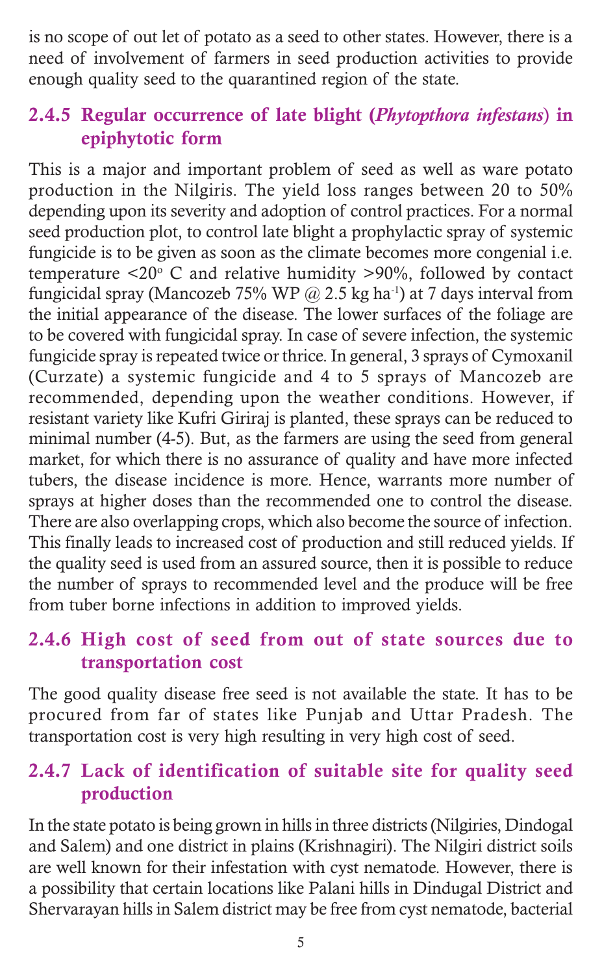is no scope of out let of potato as a seed to other states. However, there is a need of involvement of farmers in seed production activities to provide enough quality seed to the quarantined region of the state.

#### 2.4.5 Regular occurrence of late blight (Phytopthora infestans) in epiphytotic form

This is a major and important problem of seed as well as ware potato production in the Nilgiris. The yield loss ranges between 20 to 50% depending upon its severity and adoption of control practices. For a normal seed production plot, to control late blight a prophylactic spray of systemic fungicide is to be given as soon as the climate becomes more congenial i.e. temperature  $\langle 20^{\circ} \text{ C}$  and relative humidity >90%, followed by contact fungicidal spray (Mancozeb 75% WP  $(2.5 \text{ kg ha}^{-1})$  at 7 days interval from the initial appearance of the disease. The lower surfaces of the foliage are to be covered with fungicidal spray. In case of severe infection, the systemic fungicide spray is repeated twice or thrice. In general, 3 sprays of Cymoxanil (Curzate) a systemic fungicide and 4 to 5 sprays of Mancozeb are recommended, depending upon the weather conditions. However, if resistant variety like Kufri Giriraj is planted, these sprays can be reduced to minimal number (4-5). But, as the farmers are using the seed from general market, for which there is no assurance of quality and have more infected tubers, the disease incidence is more. Hence, warrants more number of sprays at higher doses than the recommended one to control the disease. There are also overlapping crops, which also become the source of infection. This finally leads to increased cost of production and still reduced yields. If the quality seed is used from an assured source, then it is possible to reduce the number of sprays to recommended level and the produce will be free from tuber borne infections in addition to improved yields.

#### 2.4.6 High cost of seed from out of state sources due to transportation cost

The good quality disease free seed is not available the state. It has to be procured from far of states like Punjab and Uttar Pradesh. The transportation cost is very high resulting in very high cost of seed.

#### 2.4.7 Lack of identification of suitable site for quality seed production

In the state potato is being grown in hills in three districts (Nilgiries, Dindogal and Salem) and one district in plains (Krishnagiri). The Nilgiri district soils are well known for their infestation with cyst nematode. However, there is a possibility that certain locations like Palani hills in Dindugal District and Shervarayan hills in Salem district may be free from cyst nematode, bacterial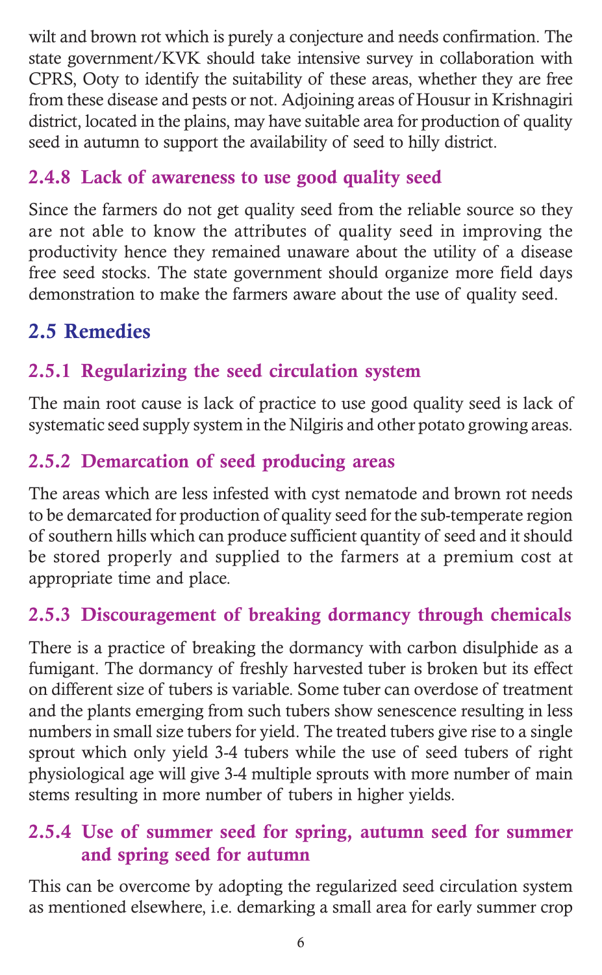wilt and brown rot which is purely a conjecture and needs confirmation. The state government/KVK should take intensive survey in collaboration with CPRS, Ooty to identify the suitability of these areas, whether they are free from these disease and pests or not. Adjoining areas of Housur in Krishnagiri district, located in the plains, may have suitable area for production of quality seed in autumn to support the availability of seed to hilly district.

#### 2.4.8 Lack of awareness to use good quality seed

Since the farmers do not get quality seed from the reliable source so they are not able to know the attributes of quality seed in improving the productivity hence they remained unaware about the utility of a disease free seed stocks. The state government should organize more field days demonstration to make the farmers aware about the use of quality seed.

# 2.5 Remedies

# 2.5.1 Regularizing the seed circulation system

The main root cause is lack of practice to use good quality seed is lack of systematic seed supply system in the Nilgiris and other potato growing areas.

# 2.5.2 Demarcation of seed producing areas

The areas which are less infested with cyst nematode and brown rot needs to be demarcated for production of quality seed for the sub-temperate region of southern hills which can produce sufficient quantity of seed and it should be stored properly and supplied to the farmers at a premium cost at appropriate time and place.

# 2.5.3 Discouragement of breaking dormancy through chemicals

There is a practice of breaking the dormancy with carbon disulphide as a fumigant. The dormancy of freshly harvested tuber is broken but its effect on different size of tubers is variable. Some tuber can overdose of treatment and the plants emerging from such tubers show senescence resulting in less numbers in small size tubers for yield. The treated tubers give rise to a single sprout which only yield 3-4 tubers while the use of seed tubers of right physiological age will give 3-4 multiple sprouts with more number of main stems resulting in more number of tubers in higher yields.

#### 2.5.4 Use of summer seed for spring, autumn seed for summer and spring seed for autumn

This can be overcome by adopting the regularized seed circulation system as mentioned elsewhere, i.e. demarking a small area for early summer crop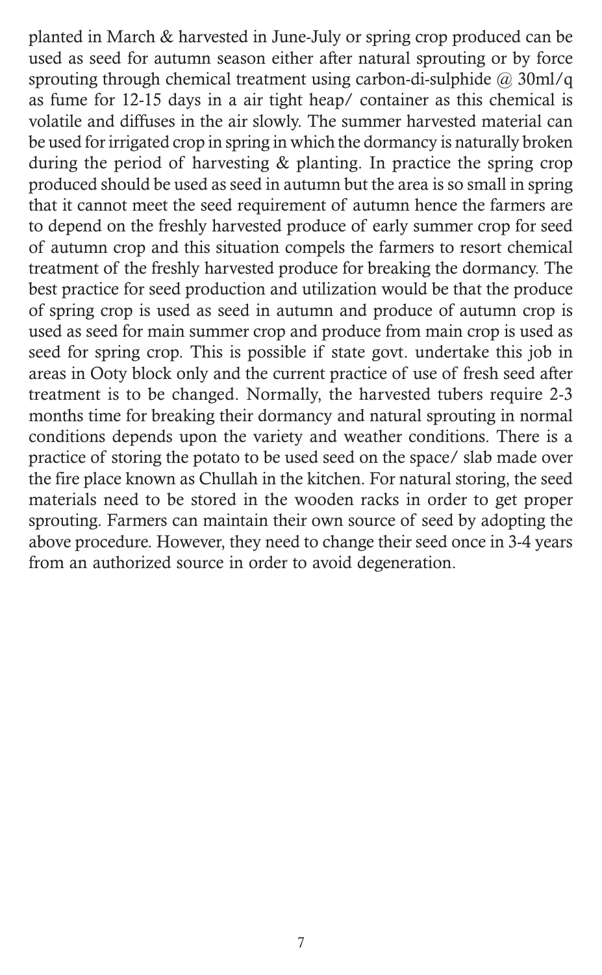planted in March & harvested in June-July or spring crop produced can be used as seed for autumn season either after natural sprouting or by force sprouting through chemical treatment using carbon-di-sulphide @ 30ml/q as fume for 12-15 days in a air tight heap/ container as this chemical is volatile and diffuses in the air slowly. The summer harvested material can be used for irrigated crop in spring in which the dormancy is naturally broken during the period of harvesting & planting. In practice the spring crop produced should be used as seed in autumn but the area is so small in spring that it cannot meet the seed requirement of autumn hence the farmers are to depend on the freshly harvested produce of early summer crop for seed of autumn crop and this situation compels the farmers to resort chemical treatment of the freshly harvested produce for breaking the dormancy. The best practice for seed production and utilization would be that the produce of spring crop is used as seed in autumn and produce of autumn crop is used as seed for main summer crop and produce from main crop is used as seed for spring crop. This is possible if state govt. undertake this job in areas in Ooty block only and the current practice of use of fresh seed after treatment is to be changed. Normally, the harvested tubers require 2-3 months time for breaking their dormancy and natural sprouting in normal conditions depends upon the variety and weather conditions. There is a practice of storing the potato to be used seed on the space/ slab made over the fire place known as Chullah in the kitchen. For natural storing, the seed materials need to be stored in the wooden racks in order to get proper sprouting. Farmers can maintain their own source of seed by adopting the above procedure. However, they need to change their seed once in 3-4 years from an authorized source in order to avoid degeneration.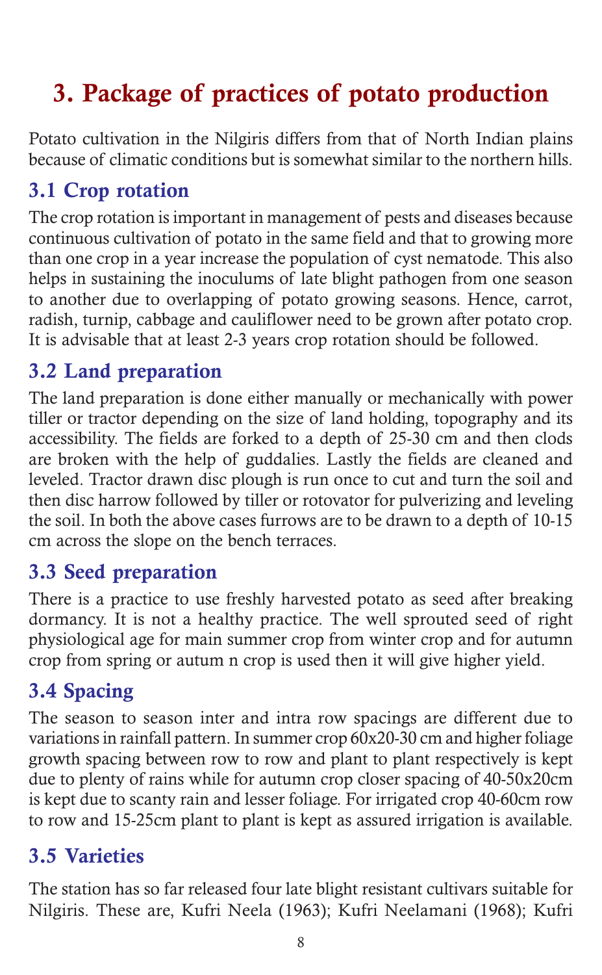# 3. Package of practices of potato production

Potato cultivation in the Nilgiris differs from that of North Indian plains because of climatic conditions but is somewhat similar to the northern hills.

# 3.1 Crop rotation

The crop rotation is important in management of pests and diseases because continuous cultivation of potato in the same field and that to growing more than one crop in a year increase the population of cyst nematode. This also helps in sustaining the inoculums of late blight pathogen from one season to another due to overlapping of potato growing seasons. Hence, carrot, radish, turnip, cabbage and cauliflower need to be grown after potato crop. It is advisable that at least 2-3 years crop rotation should be followed.

#### 3.2 Land preparation

The land preparation is done either manually or mechanically with power tiller or tractor depending on the size of land holding, topography and its accessibility. The fields are forked to a depth of 25-30 cm and then clods are broken with the help of guddalies. Lastly the fields are cleaned and leveled. Tractor drawn disc plough is run once to cut and turn the soil and then disc harrow followed by tiller or rotovator for pulverizing and leveling the soil. In both the above cases furrows are to be drawn to a depth of 10-15 cm across the slope on the bench terraces.

#### 3.3 Seed preparation

There is a practice to use freshly harvested potato as seed after breaking dormancy. It is not a healthy practice. The well sprouted seed of right physiological age for main summer crop from winter crop and for autumn crop from spring or autum n crop is used then it will give higher yield.

# 3.4 Spacing

The season to season inter and intra row spacings are different due to variations in rainfall pattern. In summer crop 60x20-30 cm and higher foliage growth spacing between row to row and plant to plant respectively is kept due to plenty of rains while for autumn crop closer spacing of 40-50x20cm is kept due to scanty rain and lesser foliage. For irrigated crop 40-60cm row to row and 15-25cm plant to plant is kept as assured irrigation is available.

#### 3.5 Varieties

The station has so far released four late blight resistant cultivars suitable for Nilgiris. These are, Kufri Neela (1963); Kufri Neelamani (1968); Kufri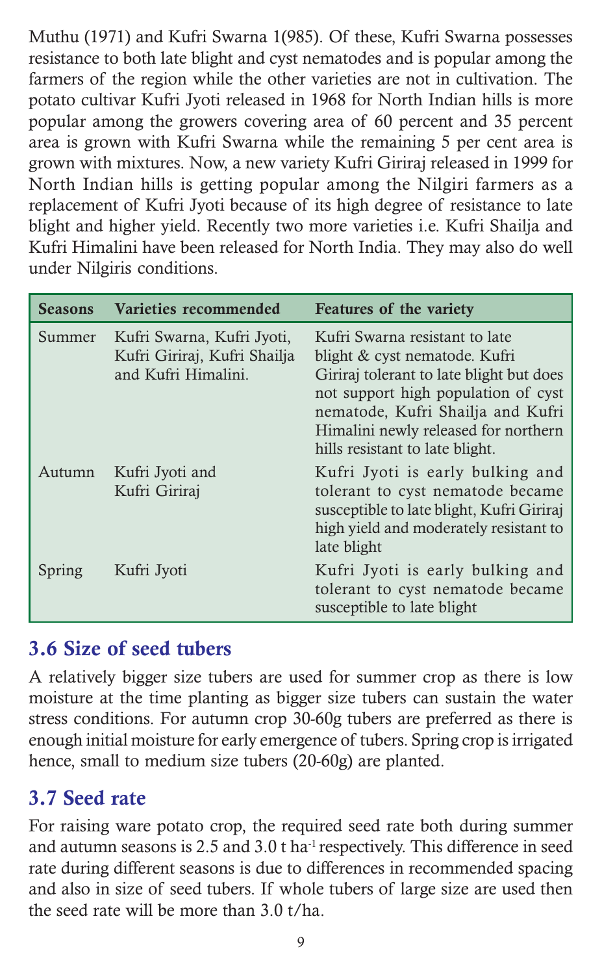Muthu (1971) and Kufri Swarna 1(985). Of these, Kufri Swarna possesses resistance to both late blight and cyst nematodes and is popular among the farmers of the region while the other varieties are not in cultivation. The potato cultivar Kufri Jyoti released in 1968 for North Indian hills is more popular among the growers covering area of 60 percent and 35 percent area is grown with Kufri Swarna while the remaining 5 per cent area is grown with mixtures. Now, a new variety Kufri Giriraj released in 1999 for North Indian hills is getting popular among the Nilgiri farmers as a replacement of Kufri Jyoti because of its high degree of resistance to late blight and higher yield. Recently two more varieties i.e. Kufri Shailja and Kufri Himalini have been released for North India. They may also do well under Nilgiris conditions.

| <b>Seasons</b> | Varieties recommended                                                             | Features of the variety                                                                                                                                                                                                                                            |
|----------------|-----------------------------------------------------------------------------------|--------------------------------------------------------------------------------------------------------------------------------------------------------------------------------------------------------------------------------------------------------------------|
| Summer         | Kufri Swarna, Kufri Jyoti,<br>Kufri Giriraj, Kufri Shailja<br>and Kufri Himalini. | Kufri Swarna resistant to late<br>blight & cyst nematode. Kufri<br>Giriraj tolerant to late blight but does<br>not support high population of cyst<br>nematode, Kufri Shailja and Kufri<br>Himalini newly released for northern<br>hills resistant to late blight. |
| Autumn         | Kufri Jyoti and<br>Kufri Giriraj                                                  | Kufri Jyoti is early bulking and<br>tolerant to cyst nematode became<br>susceptible to late blight, Kufri Giriraj<br>high yield and moderately resistant to<br>late blight                                                                                         |
| Spring         | Kufri Jyoti                                                                       | Kufri Jyoti is early bulking and<br>tolerant to cyst nematode became<br>susceptible to late blight                                                                                                                                                                 |

### 3.6 Size of seed tubers

A relatively bigger size tubers are used for summer crop as there is low moisture at the time planting as bigger size tubers can sustain the water stress conditions. For autumn crop 30-60g tubers are preferred as there is enough initial moisture for early emergence of tubers. Spring crop is irrigated hence, small to medium size tubers (20-60g) are planted.

#### 3.7 Seed rate

For raising ware potato crop, the required seed rate both during summer and autumn seasons is 2.5 and 3.0 t ha<sup>-1</sup> respectively. This difference in seed rate during different seasons is due to differences in recommended spacing and also in size of seed tubers. If whole tubers of large size are used then the seed rate will be more than 3.0 t/ha.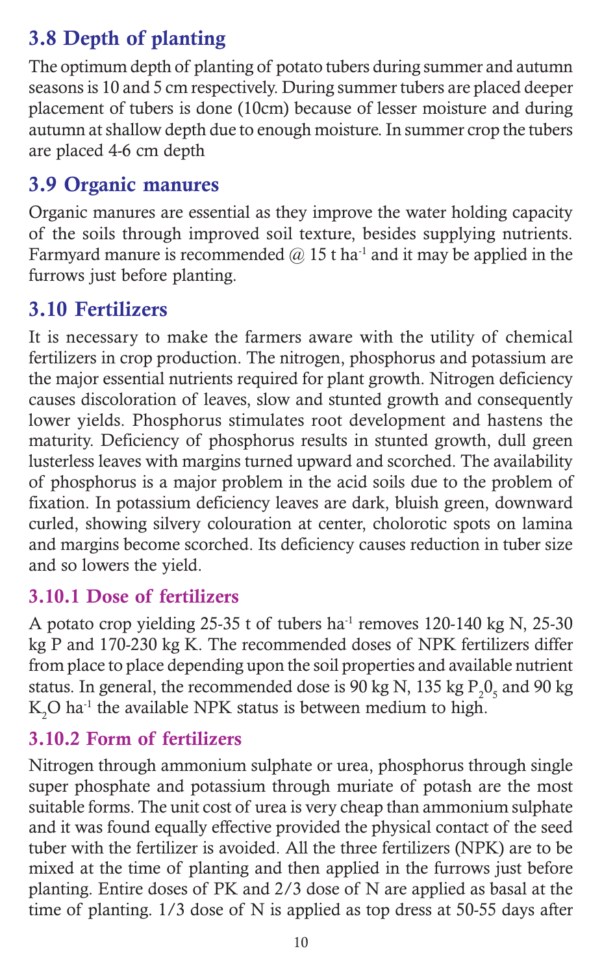# 3.8 Depth of planting

The optimum depth of planting of potato tubers during summer and autumn seasons is 10 and 5 cm respectively. During summer tubers are placed deeper placement of tubers is done (10cm) because of lesser moisture and during autumn at shallow depth due to enough moisture. In summer crop the tubers are placed 4-6 cm depth

# 3.9 Organic manures

Organic manures are essential as they improve the water holding capacity of the soils through improved soil texture, besides supplying nutrients. Farmyard manure is recommended  $(2, 15$  t ha<sup>-1</sup> and it may be applied in the furrows just before planting.

# 3.10 Fertilizers

It is necessary to make the farmers aware with the utility of chemical fertilizers in crop production. The nitrogen, phosphorus and potassium are the major essential nutrients required for plant growth. Nitrogen deficiency causes discoloration of leaves, slow and stunted growth and consequently lower yields. Phosphorus stimulates root development and hastens the maturity. Deficiency of phosphorus results in stunted growth, dull green lusterless leaves with margins turned upward and scorched. The availability of phosphorus is a major problem in the acid soils due to the problem of fixation. In potassium deficiency leaves are dark, bluish green, downward curled, showing silvery colouration at center, cholorotic spots on lamina and margins become scorched. Its deficiency causes reduction in tuber size and so lowers the yield.

# 3.10.1 Dose of fertilizers

A potato crop yielding 25-35 t of tubers ha-1 removes 120-140 kg N, 25-30 kg P and 170-230 kg K. The recommended doses of NPK fertilizers differ from place to place depending upon the soil properties and available nutrient status. In general, the recommended dose is 90 kg N, 135 kg  $\rm P_2O_5$  and 90 kg  $K_2O$  ha<sup>-1</sup> the available NPK status is between medium to high.

# 3.10.2 Form of fertilizers

Nitrogen through ammonium sulphate or urea, phosphorus through single super phosphate and potassium through muriate of potash are the most suitable forms. The unit cost of urea is very cheap than ammonium sulphate and it was found equally effective provided the physical contact of the seed tuber with the fertilizer is avoided. All the three fertilizers (NPK) are to be mixed at the time of planting and then applied in the furrows just before planting. Entire doses of PK and 2/3 dose of N are applied as basal at the time of planting. 1/3 dose of N is applied as top dress at 50-55 days after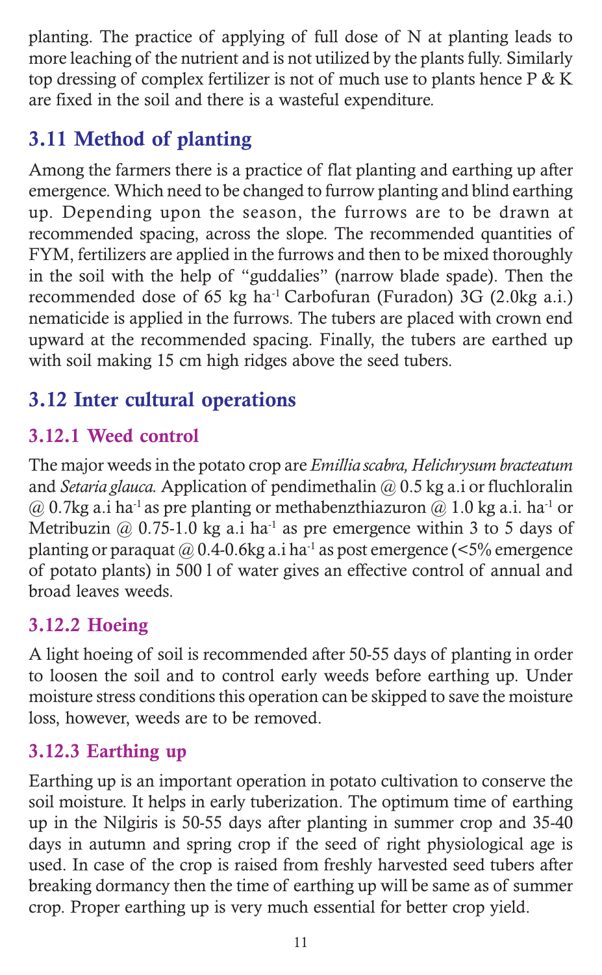planting. The practice of applying of full dose of N at planting leads to more leaching of the nutrient and is not utilized by the plants fully. Similarly top dressing of complex fertilizer is not of much use to plants hence  $P \& K$ are fixed in the soil and there is a wasteful expenditure.

# 3.11 Method of planting

Among the farmers there is a practice of flat planting and earthing up after emergence. Which need to be changed to furrow planting and blind earthing up. Depending upon the season, the furrows are to be drawn at recommended spacing, across the slope. The recommended quantities of FYM, fertilizers are applied in the furrows and then to be mixed thoroughly in the soil with the help of "guddalies" (narrow blade spade). Then the recommended dose of 65 kg ha<sup>-1</sup> Carbofuran (Furadon) 3G (2.0kg a.i.) nematicide is applied in the furrows. The tubers are placed with crown end upward at the recommended spacing. Finally, the tubers are earthed up with soil making 15 cm high ridges above the seed tubers.

# 3.12 Inter cultural operations

# 3.12.1 Weed control

The major weeds in the potato crop are Emillia scabra, Helichrysum bracteatum and Setaria glauca. Application of pendimethalin  $\omega$  0.5 kg a.i or fluchloralin  $(a)$  0.7kg a.i ha<sup>-1</sup> as pre planting or methabenzthiazuron  $(a)$  1.0 kg a.i. ha<sup>-1</sup> or Metribuzin  $\omega$  0.75-1.0 kg a.i ha<sup>-1</sup> as pre emergence within 3 to 5 days of planting or paraquat  $\omega$  0.4-0.6kg a.i ha<sup>-1</sup> as post emergence (<5% emergence of potato plants) in 500 l of water gives an effective control of annual and broad leaves weeds.

# 3.12.2 Hoeing

A light hoeing of soil is recommended after 50-55 days of planting in order to loosen the soil and to control early weeds before earthing up. Under moisture stress conditions this operation can be skipped to save the moisture loss, however, weeds are to be removed.

# 3.12.3 Earthing up

Earthing up is an important operation in potato cultivation to conserve the soil moisture. It helps in early tuberization. The optimum time of earthing up in the Nilgiris is 50-55 days after planting in summer crop and 35-40 days in autumn and spring crop if the seed of right physiological age is used. In case of the crop is raised from freshly harvested seed tubers after breaking dormancy then the time of earthing up will be same as of summer crop. Proper earthing up is very much essential for better crop yield.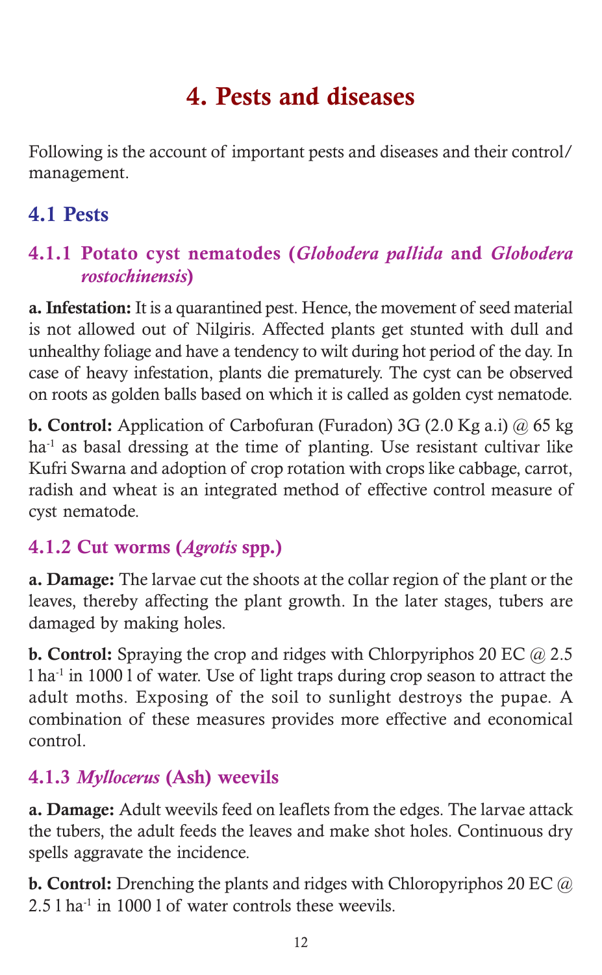# 4. Pests and diseases

Following is the account of important pests and diseases and their control/ management.

# 4.1 Pests

#### 4.1.1 Potato cyst nematodes (Globodera pallida and Globodera rostochinensis)

a. Infestation: It is a quarantined pest. Hence, the movement of seed material is not allowed out of Nilgiris. Affected plants get stunted with dull and unhealthy foliage and have a tendency to wilt during hot period of the day. In case of heavy infestation, plants die prematurely. The cyst can be observed on roots as golden balls based on which it is called as golden cyst nematode.

b. Control: Application of Carbofuran (Furadon) 3G (2.0 Kg a.i) @ 65 kg ha-1 as basal dressing at the time of planting. Use resistant cultivar like Kufri Swarna and adoption of crop rotation with crops like cabbage, carrot, radish and wheat is an integrated method of effective control measure of cyst nematode.

#### 4.1.2 Cut worms (Agrotis spp.)

a. Damage: The larvae cut the shoots at the collar region of the plant or the leaves, thereby affecting the plant growth. In the later stages, tubers are damaged by making holes.

**b. Control:** Spraying the crop and ridges with Chlorpyriphos 20 EC  $@$  2.5 l ha-1 in 1000 l of water. Use of light traps during crop season to attract the adult moths. Exposing of the soil to sunlight destroys the pupae. A combination of these measures provides more effective and economical control.

#### 4.1.3 Myllocerus (Ash) weevils

a. Damage: Adult weevils feed on leaflets from the edges. The larvae attack the tubers, the adult feeds the leaves and make shot holes. Continuous dry spells aggravate the incidence.

b. Control: Drenching the plants and ridges with Chloropyriphos 20 EC @ 2.5 l ha-1 in 1000 l of water controls these weevils.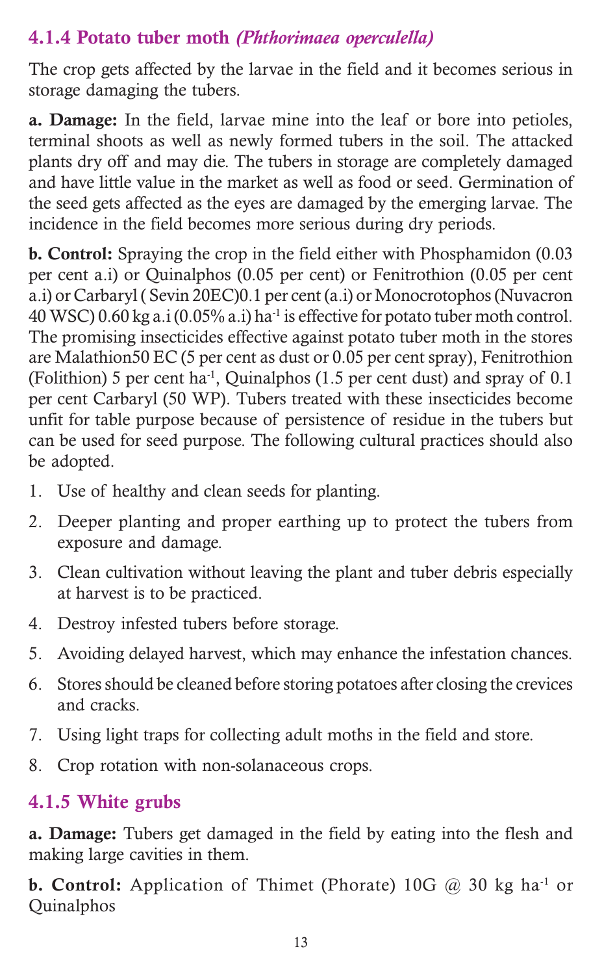#### 4.1.4 Potato tuber moth (Phthorimaea operculella)

The crop gets affected by the larvae in the field and it becomes serious in storage damaging the tubers.

a. Damage: In the field, larvae mine into the leaf or bore into petioles, terminal shoots as well as newly formed tubers in the soil. The attacked plants dry off and may die. The tubers in storage are completely damaged and have little value in the market as well as food or seed. Germination of the seed gets affected as the eyes are damaged by the emerging larvae. The incidence in the field becomes more serious during dry periods.

b. Control: Spraying the crop in the field either with Phosphamidon (0.03 per cent a.i) or Quinalphos (0.05 per cent) or Fenitrothion (0.05 per cent a.i) or Carbaryl ( Sevin 20EC)0.1 per cent (a.i) or Monocrotophos (Nuvacron 40 WSC) 0.60 kg a.i (0.05% a.i) ha<sup>-1</sup> is effective for potato tuber moth control. The promising insecticides effective against potato tuber moth in the stores are Malathion50 EC (5 per cent as dust or 0.05 per cent spray), Fenitrothion (Folithion) 5 per cent ha<sup>-1</sup>, Quinalphos (1.5 per cent dust) and spray of  $0.1$ per cent Carbaryl (50 WP). Tubers treated with these insecticides become unfit for table purpose because of persistence of residue in the tubers but can be used for seed purpose. The following cultural practices should also be adopted.

- 1. Use of healthy and clean seeds for planting.
- 2. Deeper planting and proper earthing up to protect the tubers from exposure and damage.
- 3. Clean cultivation without leaving the plant and tuber debris especially at harvest is to be practiced.
- 4. Destroy infested tubers before storage.
- 5. Avoiding delayed harvest, which may enhance the infestation chances.
- 6. Stores should be cleaned before storing potatoes after closing the crevices and cracks.
- 7. Using light traps for collecting adult moths in the field and store.
- 8. Crop rotation with non-solanaceous crops.

#### 4.1.5 White grubs

a. Damage: Tubers get damaged in the field by eating into the flesh and making large cavities in them.

**b. Control:** Application of Thimet (Phorate) 10G  $@$  30 kg ha<sup>-1</sup> or Quinalphos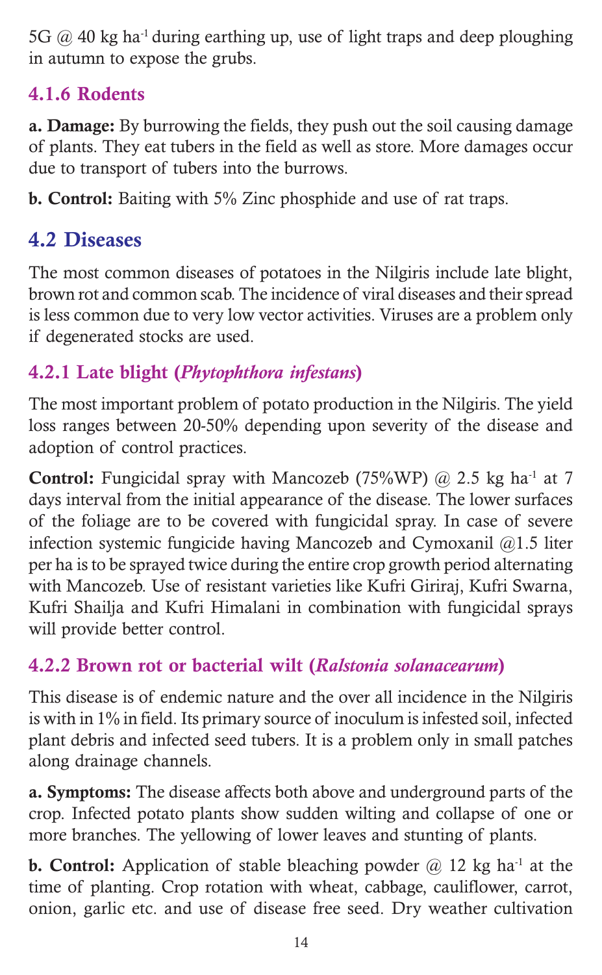5G  $\omega$  40 kg ha<sup>-1</sup> during earthing up, use of light traps and deep ploughing in autumn to expose the grubs.

# 4.1.6 Rodents

a. Damage: By burrowing the fields, they push out the soil causing damage of plants. They eat tubers in the field as well as store. More damages occur due to transport of tubers into the burrows.

b. Control: Baiting with 5% Zinc phosphide and use of rat traps.

# 4.2 Diseases

The most common diseases of potatoes in the Nilgiris include late blight, brown rot and common scab. The incidence of viral diseases and their spread is less common due to very low vector activities. Viruses are a problem only if degenerated stocks are used.

# 4.2.1 Late blight (Phytophthora infestans)

The most important problem of potato production in the Nilgiris. The yield loss ranges between 20-50% depending upon severity of the disease and adoption of control practices.

**Control:** Fungicidal spray with Mancozeb (75%WP)  $@$  2.5 kg ha<sup>-1</sup> at 7 days interval from the initial appearance of the disease. The lower surfaces of the foliage are to be covered with fungicidal spray. In case of severe infection systemic fungicide having Mancozeb and Cymoxanil @1.5 liter per ha is to be sprayed twice during the entire crop growth period alternating with Mancozeb. Use of resistant varieties like Kufri Giriraj, Kufri Swarna, Kufri Shailja and Kufri Himalani in combination with fungicidal sprays will provide better control.

# 4.2.2 Brown rot or bacterial wilt (Ralstonia solanacearum)

This disease is of endemic nature and the over all incidence in the Nilgiris is with in 1% in field. Its primary source of inoculum is infested soil, infected plant debris and infected seed tubers. It is a problem only in small patches along drainage channels.

a. Symptoms: The disease affects both above and underground parts of the crop. Infected potato plants show sudden wilting and collapse of one or more branches. The yellowing of lower leaves and stunting of plants.

**b. Control:** Application of stable bleaching powder  $\omega$  12 kg ha<sup>-1</sup> at the time of planting. Crop rotation with wheat, cabbage, cauliflower, carrot, onion, garlic etc. and use of disease free seed. Dry weather cultivation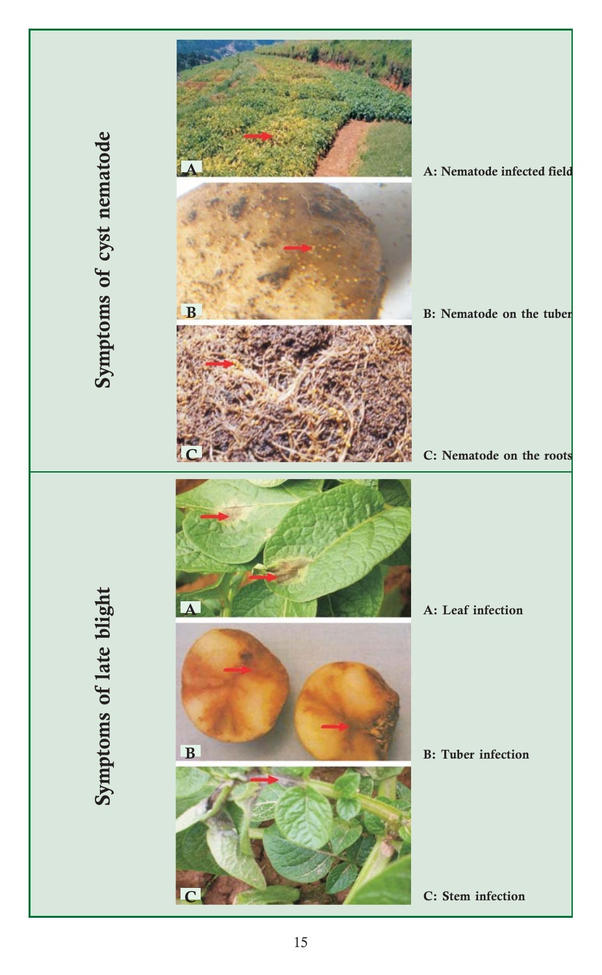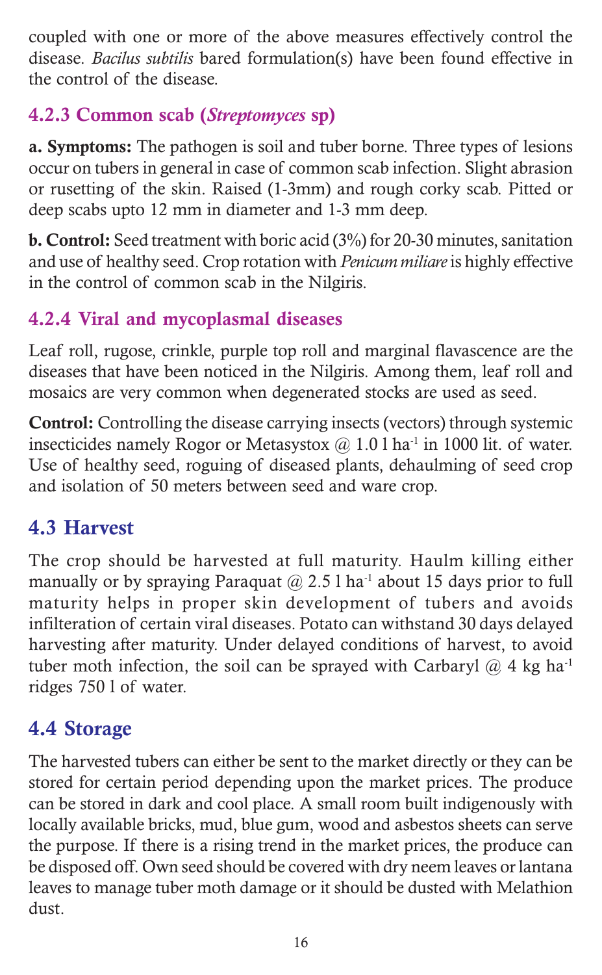coupled with one or more of the above measures effectively control the disease. Bacilus subtilis bared formulation(s) have been found effective in the control of the disease.

### 4.2.3 Common scab (Streptomyces sp)

a. Symptoms: The pathogen is soil and tuber borne. Three types of lesions occur on tubers in general in case of common scab infection. Slight abrasion or rusetting of the skin. Raised (1-3mm) and rough corky scab. Pitted or deep scabs upto 12 mm in diameter and 1-3 mm deep.

b. Control: Seed treatment with boric acid (3%) for 20-30 minutes, sanitation and use of healthy seed. Crop rotation with Penicum miliare is highly effective in the control of common scab in the Nilgiris.

# 4.2.4 Viral and mycoplasmal diseases

Leaf roll, rugose, crinkle, purple top roll and marginal flavascence are the diseases that have been noticed in the Nilgiris. Among them, leaf roll and mosaics are very common when degenerated stocks are used as seed.

Control: Controlling the disease carrying insects (vectors) through systemic insecticides namely Rogor or Metasystox  $(a)$  1.0 l ha<sup>-1</sup> in 1000 lit. of water. Use of healthy seed, roguing of diseased plants, dehaulming of seed crop and isolation of 50 meters between seed and ware crop.

# 4.3 Harvest

The crop should be harvested at full maturity. Haulm killing either manually or by spraying Paraquat  $\omega$  2.5 l ha<sup>-1</sup> about 15 days prior to full maturity helps in proper skin development of tubers and avoids infilteration of certain viral diseases. Potato can withstand 30 days delayed harvesting after maturity. Under delayed conditions of harvest, to avoid tuber moth infection, the soil can be sprayed with Carbaryl  $\omega$  4 kg ha<sup>-1</sup> ridges 750 l of water.

# 4.4 Storage

The harvested tubers can either be sent to the market directly or they can be stored for certain period depending upon the market prices. The produce can be stored in dark and cool place. A small room built indigenously with locally available bricks, mud, blue gum, wood and asbestos sheets can serve the purpose. If there is a rising trend in the market prices, the produce can be disposed off. Own seed should be covered with dry neem leaves or lantana leaves to manage tuber moth damage or it should be dusted with Melathion dust.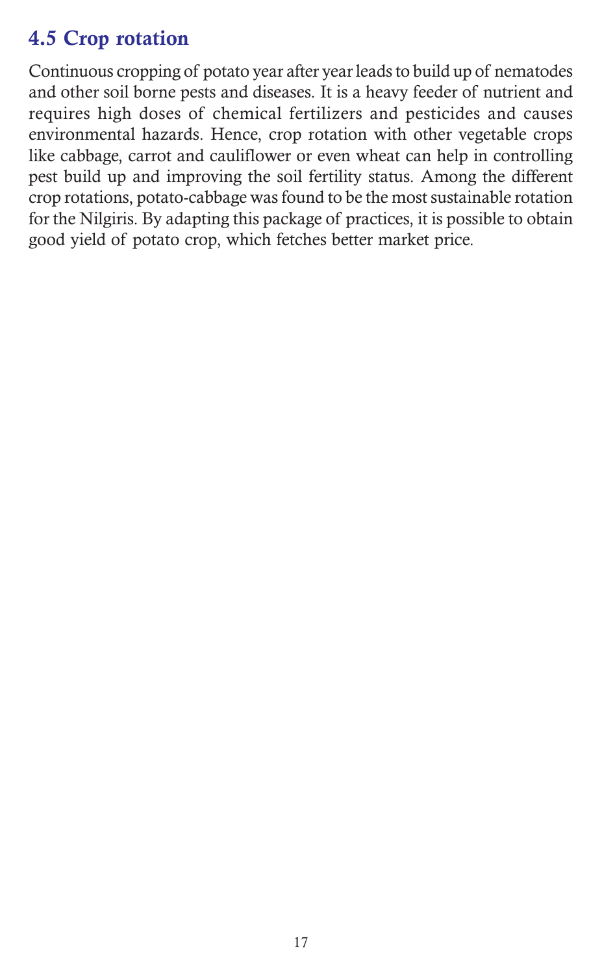# 4.5 Crop rotation

Continuous cropping of potato year after year leads to build up of nematodes and other soil borne pests and diseases. It is a heavy feeder of nutrient and requires high doses of chemical fertilizers and pesticides and causes environmental hazards. Hence, crop rotation with other vegetable crops like cabbage, carrot and cauliflower or even wheat can help in controlling pest build up and improving the soil fertility status. Among the different crop rotations, potato-cabbage was found to be the most sustainable rotation for the Nilgiris. By adapting this package of practices, it is possible to obtain good yield of potato crop, which fetches better market price.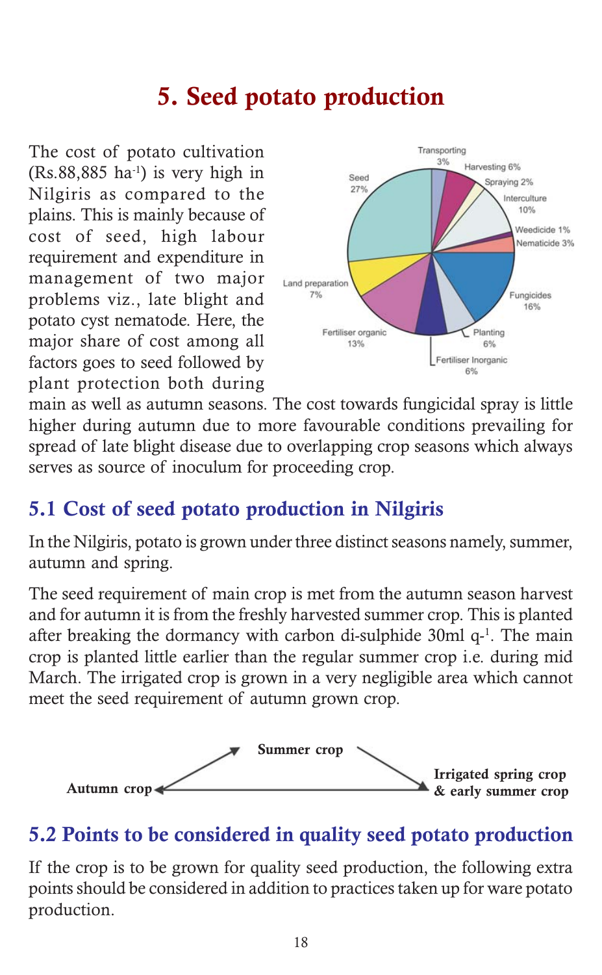# 5. Seed potato production

The cost of potato cultivation  $(Rs.88,885 \text{ ha}^{-1})$  is very high in Nilgiris as compared to the plains. This is mainly because of cost of seed, high labour requirement and expenditure in management of two major problems viz., late blight and potato cyst nematode. Here, the major share of cost among all factors goes to seed followed by plant protection both during



main as well as autumn seasons. The cost towards fungicidal spray is little higher during autumn due to more favourable conditions prevailing for spread of late blight disease due to overlapping crop seasons which always serves as source of inoculum for proceeding crop.

# 5.1 Cost of seed potato production in Nilgiris

In the Nilgiris, potato is grown under three distinct seasons namely, summer, autumn and spring.

The seed requirement of main crop is met from the autumn season harvest and for autumn it is from the freshly harvested summer crop. This is planted after breaking the dormancy with carbon di-sulphide 30ml q-<sup>1</sup>. The main crop is planted little earlier than the regular summer crop i.e. during mid March. The irrigated crop is grown in a very negligible area which cannot meet the seed requirement of autumn grown crop.



# 5.2 Points to be considered in quality seed potato production

If the crop is to be grown for quality seed production, the following extra points should be considered in addition to practices taken up for ware potato production.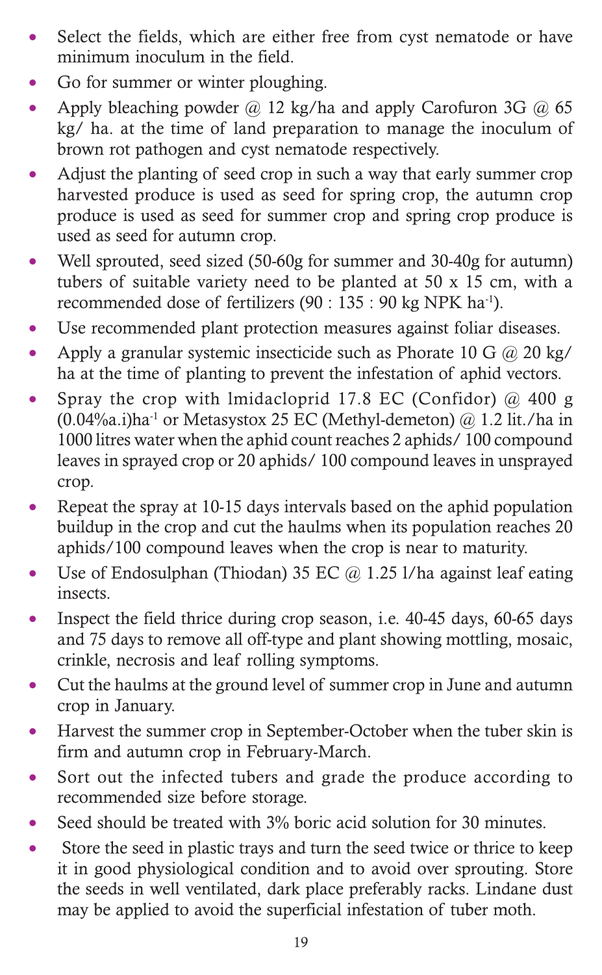- Select the fields, which are either free from cyst nematode or have minimum inoculum in the field.
- Go for summer or winter ploughing.
- Apply bleaching powder  $\omega$  12 kg/ha and apply Carofuron 3G  $\omega$  65 kg/ ha. at the time of land preparation to manage the inoculum of brown rot pathogen and cyst nematode respectively.
- Adjust the planting of seed crop in such a way that early summer crop harvested produce is used as seed for spring crop, the autumn crop produce is used as seed for summer crop and spring crop produce is used as seed for autumn crop.
- Well sprouted, seed sized (50-60g for summer and 30-40g for autumn) tubers of suitable variety need to be planted at 50 x 15 cm, with a recommended dose of fertilizers (90 : 135 : 90 kg NPK ha<sup>-1</sup>).
- Use recommended plant protection measures against foliar diseases.
- Apply a granular systemic insecticide such as Phorate 10 G  $\omega$  20 kg/ ha at the time of planting to prevent the infestation of aphid vectors.
- Spray the crop with lmidacloprid 17.8 EC (Confidor)  $@$  400 g  $(0.04\%$ a.i)ha<sup>-1</sup> or Metasystox 25 EC (Methyl-demeton) @ 1.2 lit./ha in 1000 litres water when the aphid count reaches 2 aphids/ 100 compound leaves in sprayed crop or 20 aphids/ 100 compound leaves in unsprayed crop.
- Repeat the spray at 10-15 days intervals based on the aphid population buildup in the crop and cut the haulms when its population reaches 20 aphids/100 compound leaves when the crop is near to maturity.
- Use of Endosulphan (Thiodan) 35 EC  $\omega$  1.25 l/ha against leaf eating insects.
- Inspect the field thrice during crop season, i.e. 40-45 days, 60-65 days and 75 days to remove all off-type and plant showing mottling, mosaic, crinkle, necrosis and leaf rolling symptoms.
- Cut the haulms at the ground level of summer crop in June and autumn crop in January.
- Harvest the summer crop in September-October when the tuber skin is firm and autumn crop in February-March.
- Sort out the infected tubers and grade the produce according to recommended size before storage.
- Seed should be treated with 3% boric acid solution for 30 minutes.
- Store the seed in plastic trays and turn the seed twice or thrice to keep it in good physiological condition and to avoid over sprouting. Store the seeds in well ventilated, dark place preferably racks. Lindane dust may be applied to avoid the superficial infestation of tuber moth.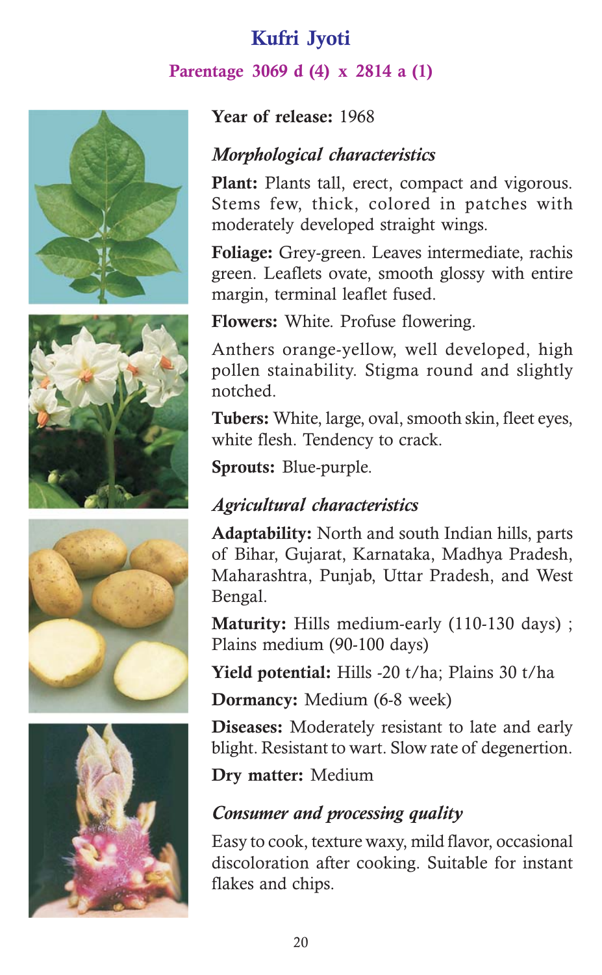# Kufri Jyoti

#### Parentage 3069 d (4) x 2814 a (1)









Year of release: 1968

#### Morphological characteristics

Plant: Plants tall, erect, compact and vigorous. Stems few, thick, colored in patches with moderately developed straight wings.

Foliage: Grey-green. Leaves intermediate, rachis green. Leaflets ovate, smooth glossy with entire margin, terminal leaflet fused.

Flowers: White. Profuse flowering.

Anthers orange-yellow, well developed, high pollen stainability. Stigma round and slightly notched.

Tubers: White, large, oval, smooth skin, fleet eyes, white flesh. Tendency to crack.

Sprouts: Blue-purple.

#### Agricultural characteristics

Adaptability: North and south Indian hills, parts of Bihar, Gujarat, Karnataka, Madhya Pradesh, Maharashtra, Punjab, Uttar Pradesh, and West Bengal.

Maturity: Hills medium-early (110-130 days); Plains medium (90-100 days)

Yield potential: Hills -20 t/ha; Plains 30 t/ha

Dormancy: Medium (6-8 week)

Diseases: Moderately resistant to late and early blight. Resistant to wart. Slow rate of degenertion.

Dry matter: Medium

#### Consumer and processing quality

Easy to cook, texture waxy, mild flavor, occasional discoloration after cooking. Suitable for instant flakes and chips.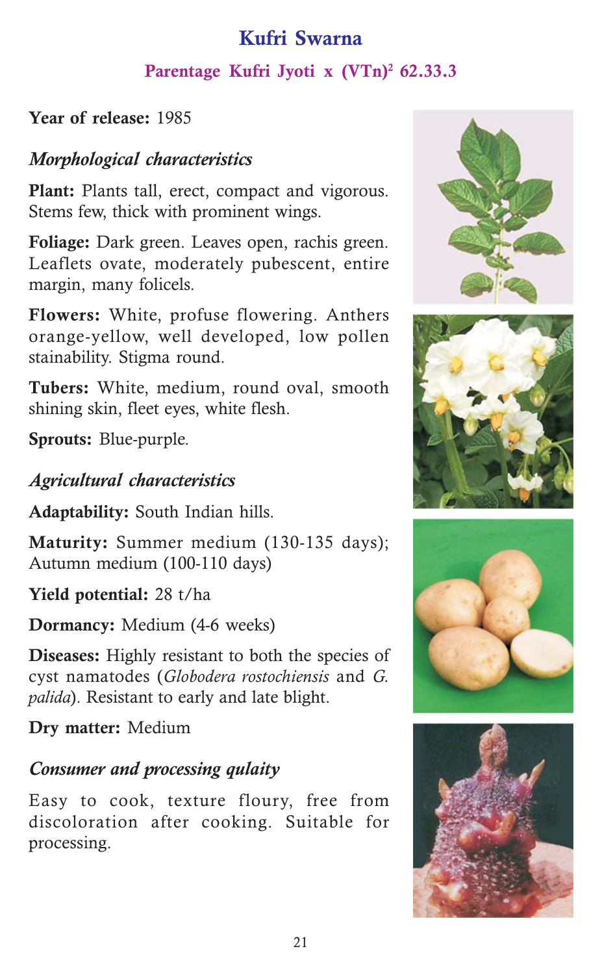# Kufri Swarna

#### Parentage Kufri Jyoti x (VTn)<sup>2</sup> 62.33.3

#### Year of release: 1985

#### Morphological characteristics

Plant: Plants tall, erect, compact and vigorous. Stems few, thick with prominent wings.

Foliage: Dark green. Leaves open, rachis green. Leaflets ovate, moderately pubescent, entire margin, many folicels.

Flowers: White, profuse flowering. Anthers orange-yellow, well developed, low pollen stainability. Stigma round.

Tubers: White, medium, round oval, smooth shining skin, fleet eyes, white flesh.

Sprouts: Blue-purple.

#### Agricultural characteristics

Adaptability: South Indian hills.

Maturity: Summer medium (130-135 days); Autumn medium (100-110 days)

Yield potential: 28 t/ha

Dormancy: Medium (4-6 weeks)

Diseases: Highly resistant to both the species of cyst namatodes (Globodera rostochiensis and G. palida). Resistant to early and late blight.

Dry matter: Medium

# Consumer and processing qulaity

Easy to cook, texture floury, free from discoloration after cooking. Suitable for processing.







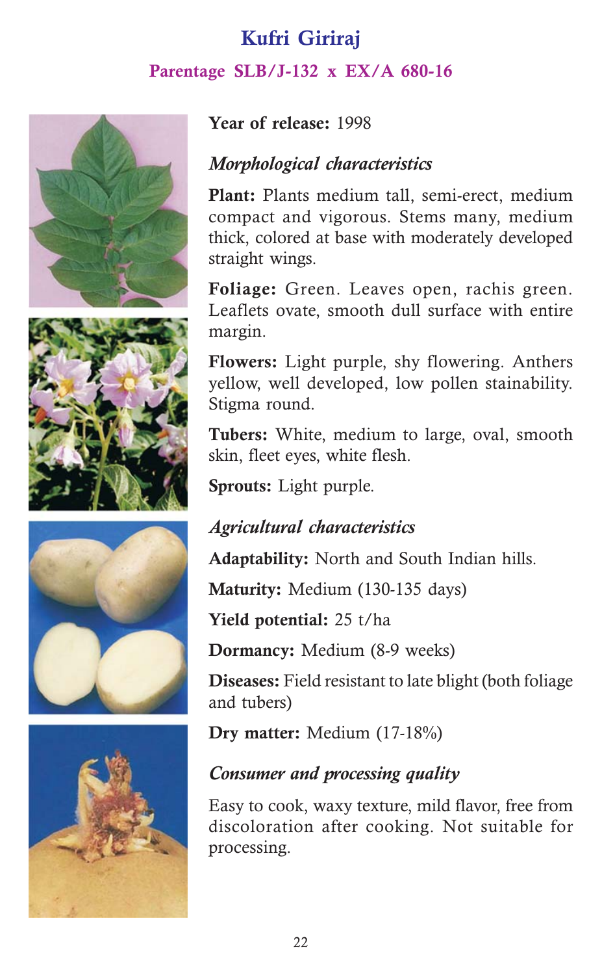# Kufri Giriraj Parentage SLB/J-132 x EX/A 680-16









#### Year of release: 1998

#### Morphological characteristics

Plant: Plants medium tall, semi-erect, medium compact and vigorous. Stems many, medium thick, colored at base with moderately developed straight wings.

Foliage: Green. Leaves open, rachis green. Leaflets ovate, smooth dull surface with entire margin.

Flowers: Light purple, shy flowering. Anthers yellow, well developed, low pollen stainability. Stigma round.

Tubers: White, medium to large, oval, smooth skin, fleet eyes, white flesh.

Sprouts: Light purple.

#### Agricultural characteristics

Adaptability: North and South Indian hills.

Maturity: Medium (130-135 days)

Yield potential: 25 t/ha

Dormancy: Medium (8-9 weeks)

Diseases: Field resistant to late blight (both foliage and tubers)

Dry matter: Medium (17-18%)

#### Consumer and processing quality

Easy to cook, waxy texture, mild flavor, free from discoloration after cooking. Not suitable for processing.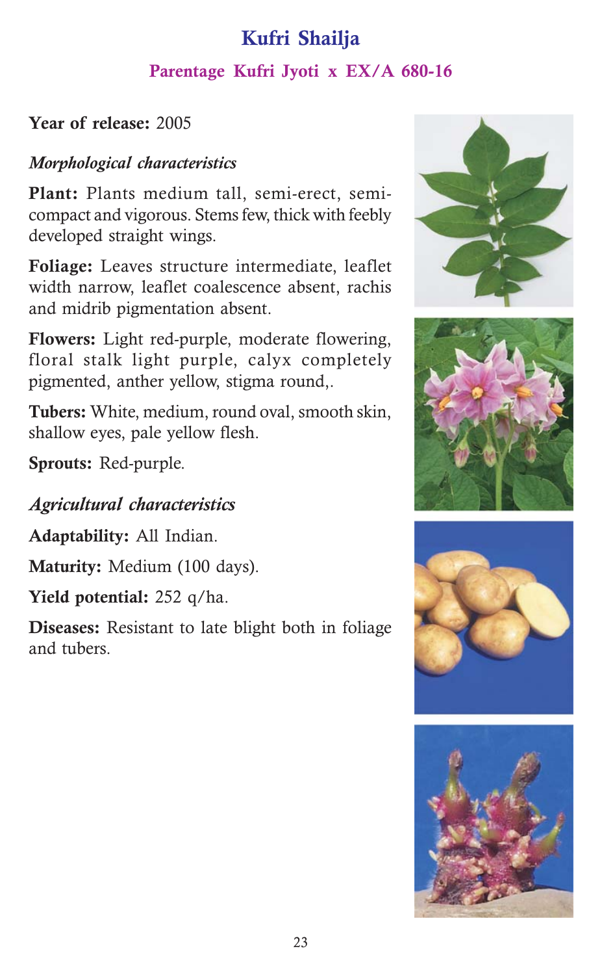# Kufri Shailja

### Parentage Kufri Jyoti x EX/A 680-16

#### Year of release: 2005

#### Morphological characteristics

Plant: Plants medium tall, semi-erect, semicompact and vigorous. Stems few, thick with feebly developed straight wings.

Foliage: Leaves structure intermediate, leaflet width narrow, leaflet coalescence absent, rachis and midrib pigmentation absent.

Flowers: Light red-purple, moderate flowering, floral stalk light purple, calyx completely pigmented, anther yellow, stigma round,.

Tubers: White, medium, round oval, smooth skin, shallow eyes, pale yellow flesh.

Sprouts: Red-purple.

Agricultural characteristics

Adaptability: All Indian.

Maturity: Medium (100 days).

Yield potential: 252 q/ha.

Diseases: Resistant to late blight both in foliage and tubers.







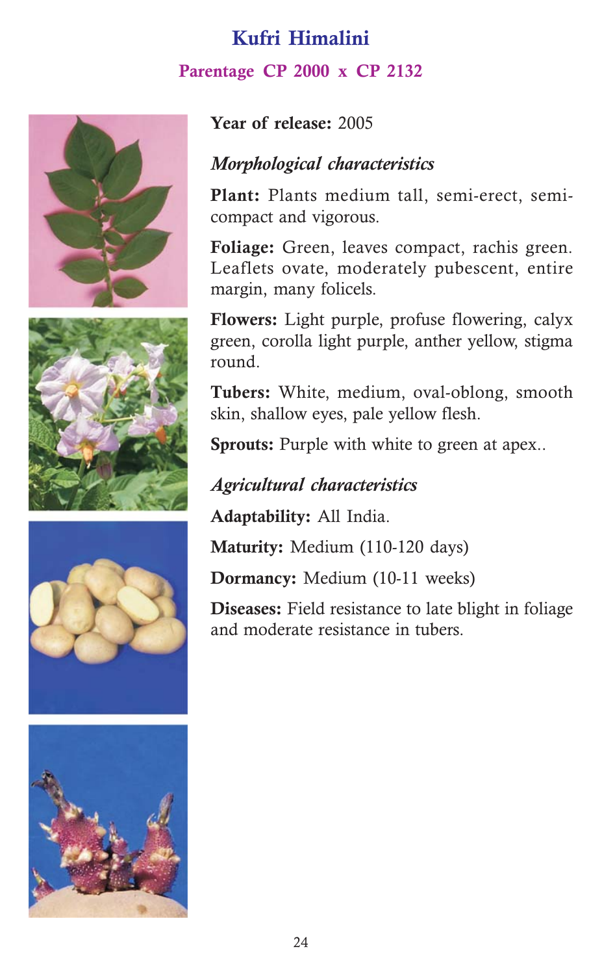# Kufri Himalini Parentage CP 2000 x CP 2132









#### Year of release: 2005

#### Morphological characteristics

Plant: Plants medium tall, semi-erect, semicompact and vigorous.

Foliage: Green, leaves compact, rachis green. Leaflets ovate, moderately pubescent, entire margin, many folicels.

Flowers: Light purple, profuse flowering, calyx green, corolla light purple, anther yellow, stigma round.

Tubers: White, medium, oval-oblong, smooth skin, shallow eyes, pale yellow flesh.

Sprouts: Purple with white to green at apex..

#### Agricultural characteristics

Adaptability: All India.

Maturity: Medium (110-120 days)

Dormancy: Medium (10-11 weeks)

Diseases: Field resistance to late blight in foliage and moderate resistance in tubers.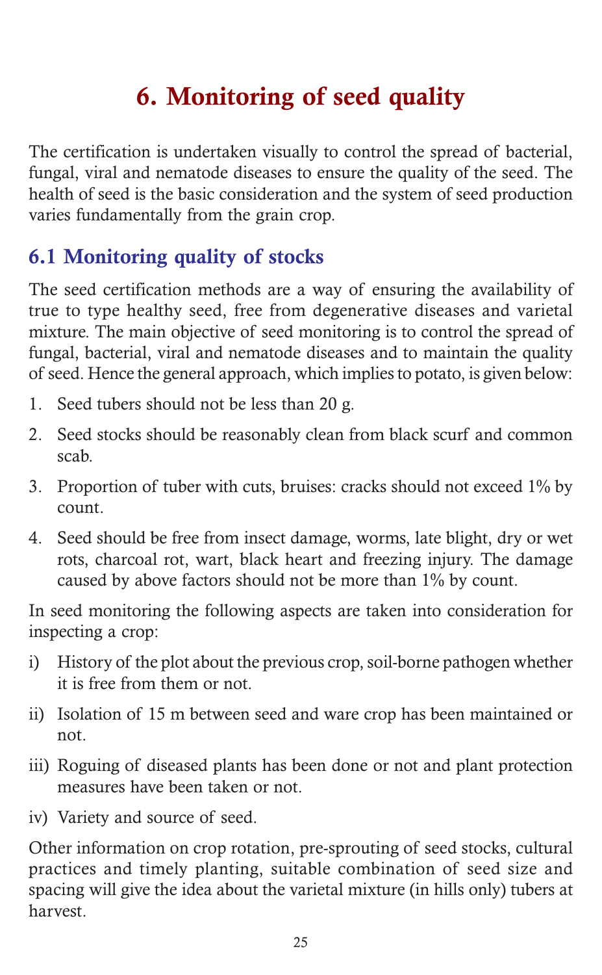# 6. Monitoring of seed quality

The certification is undertaken visually to control the spread of bacterial, fungal, viral and nematode diseases to ensure the quality of the seed. The health of seed is the basic consideration and the system of seed production varies fundamentally from the grain crop.

# 6.1 Monitoring quality of stocks

The seed certification methods are a way of ensuring the availability of true to type healthy seed, free from degenerative diseases and varietal mixture. The main objective of seed monitoring is to control the spread of fungal, bacterial, viral and nematode diseases and to maintain the quality of seed. Hence the general approach, which implies to potato, is given below:

- 1. Seed tubers should not be less than 20 g.
- 2. Seed stocks should be reasonably clean from black scurf and common scab.
- 3. Proportion of tuber with cuts, bruises: cracks should not exceed 1% by count.
- 4. Seed should be free from insect damage, worms, late blight, dry or wet rots, charcoal rot, wart, black heart and freezing injury. The damage caused by above factors should not be more than 1% by count.

In seed monitoring the following aspects are taken into consideration for inspecting a crop:

- i) History of the plot about the previous crop, soil-borne pathogen whether it is free from them or not.
- ii) Isolation of 15 m between seed and ware crop has been maintained or not.
- iii) Roguing of diseased plants has been done or not and plant protection measures have been taken or not.
- iv) Variety and source of seed.

Other information on crop rotation, pre-sprouting of seed stocks, cultural practices and timely planting, suitable combination of seed size and spacing will give the idea about the varietal mixture (in hills only) tubers at harvest.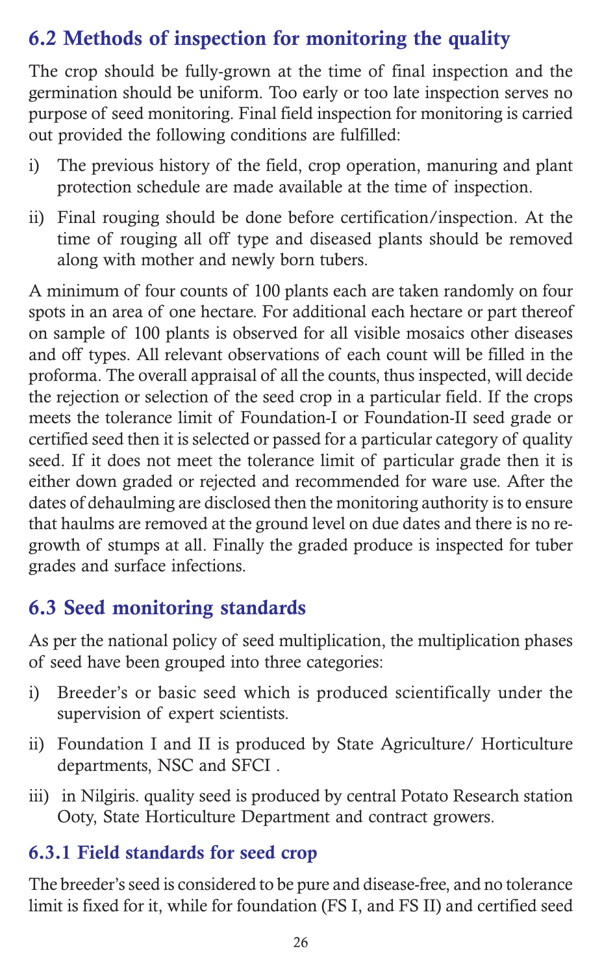# 6.2 Methods of inspection for monitoring the quality

The crop should be fully-grown at the time of final inspection and the germination should be uniform. Too early or too late inspection serves no purpose of seed monitoring. Final field inspection for monitoring is carried out provided the following conditions are fulfilled:

- i) The previous history of the field, crop operation, manuring and plant protection schedule are made available at the time of inspection.
- ii) Final rouging should be done before certification/inspection. At the time of rouging all off type and diseased plants should be removed along with mother and newly born tubers.

A minimum of four counts of 100 plants each are taken randomly on four spots in an area of one hectare. For additional each hectare or part thereof on sample of 100 plants is observed for all visible mosaics other diseases and off types. All relevant observations of each count will be filled in the proforma. The overall appraisal of all the counts, thus inspected, will decide the rejection or selection of the seed crop in a particular field. If the crops meets the tolerance limit of Foundation-I or Foundation-II seed grade or certified seed then it is selected or passed for a particular category of quality seed. If it does not meet the tolerance limit of particular grade then it is either down graded or rejected and recommended for ware use. After the dates of dehaulming are disclosed then the monitoring authority is to ensure that haulms are removed at the ground level on due dates and there is no regrowth of stumps at all. Finally the graded produce is inspected for tuber grades and surface infections.

# 6.3 Seed monitoring standards

As per the national policy of seed multiplication, the multiplication phases of seed have been grouped into three categories:

- i) Breeder's or basic seed which is produced scientifically under the supervision of expert scientists.
- ii) Foundation I and II is produced by State Agriculture/ Horticulture departments, NSC and SFCI .
- iii) in Nilgiris. quality seed is produced by central Potato Research station Ooty, State Horticulture Department and contract growers.

#### 6.3.1 Field standards for seed crop

The breeder's seed is considered to be pure and disease-free, and no tolerance limit is fixed for it, while for foundation (FS I, and FS II) and certified seed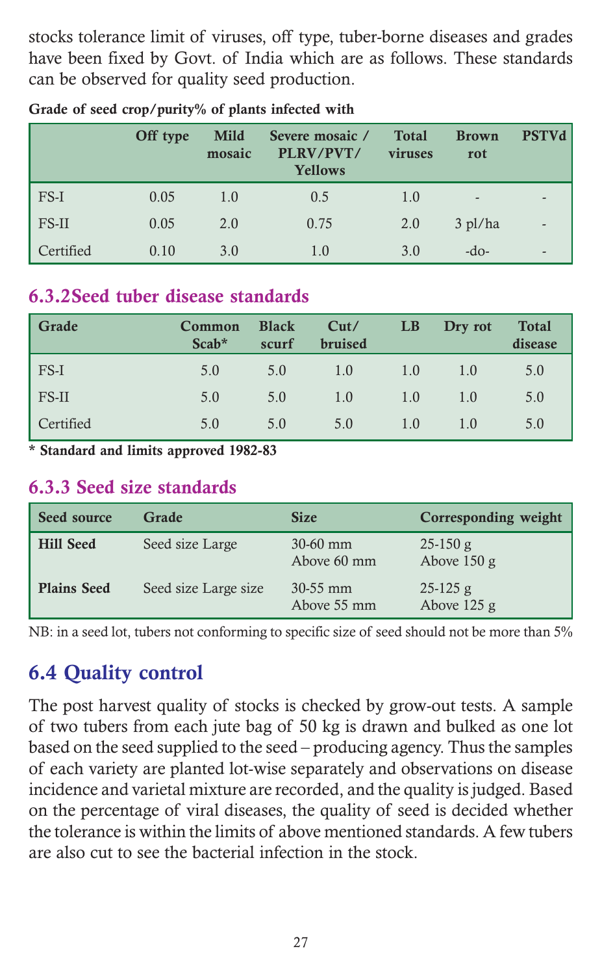stocks tolerance limit of viruses, off type, tuber-borne diseases and grades have been fixed by Govt. of India which are as follows. These standards can be observed for quality seed production.

|           | Off type | Mild<br>mosaic | Severe mosaic /<br>PLRV/PVT/<br><b>Yellows</b> | <b>Total</b><br>viruses | <b>Brown</b><br>rot      | <b>PSTVd</b> |
|-----------|----------|----------------|------------------------------------------------|-------------------------|--------------------------|--------------|
| FS-I      | 0.05     | 1.0            | 0.5                                            | 1.0                     | $\overline{\phantom{a}}$ |              |
| FS-II     | 0.05     | 2.0            | 0.75                                           | 2.0                     | $3$ pl/ha                |              |
| Certified | 0.10     | 3.0            | 1.0                                            | 3.0                     | -do-                     |              |

|  |  | Grade of seed crop/purity% of plants infected with |  |  |
|--|--|----------------------------------------------------|--|--|
|  |  |                                                    |  |  |

#### 6.3.2Seed tuber disease standards

| Grade     | Common<br>$Scab*$ | <b>Black</b><br>scurf | Cut/<br>bruised | $_{LB}$ | Dry rot | <b>Total</b><br>disease |
|-----------|-------------------|-----------------------|-----------------|---------|---------|-------------------------|
| FS-I      | 5.0               | 5.0                   | 1.0             | 1.0     | 1.0     | 5.0                     |
| FS-II     | 5.0               | 5.0                   | 1.0             | 1.0     | 1.0     | 5.0                     |
| Certified | 5.0               | 5.0                   | 5.0             | 1.0     | 1.0     | 5.0                     |

\* Standard and limits approved 1982-83

#### 6.3.3 Seed size standards

| Seed source        | Grade                | <b>Size</b>               | Corresponding weight        |
|--------------------|----------------------|---------------------------|-----------------------------|
| <b>Hill Seed</b>   | Seed size Large      | $30-60$ mm<br>Above 60 mm | $25-150$ g<br>Above $150 g$ |
| <b>Plains Seed</b> | Seed size Large size | $30-55$ mm<br>Above 55 mm | $25-125$ g<br>Above $125 g$ |

NB: in a seed lot, tubers not conforming to specific size of seed should not be more than 5%

# 6.4 Quality control

The post harvest quality of stocks is checked by grow-out tests. A sample of two tubers from each jute bag of 50 kg is drawn and bulked as one lot based on the seed supplied to the seed – producing agency. Thus the samples of each variety are planted lot-wise separately and observations on disease incidence and varietal mixture are recorded, and the quality is judged. Based on the percentage of viral diseases, the quality of seed is decided whether the tolerance is within the limits of above mentioned standards. A few tubers are also cut to see the bacterial infection in the stock.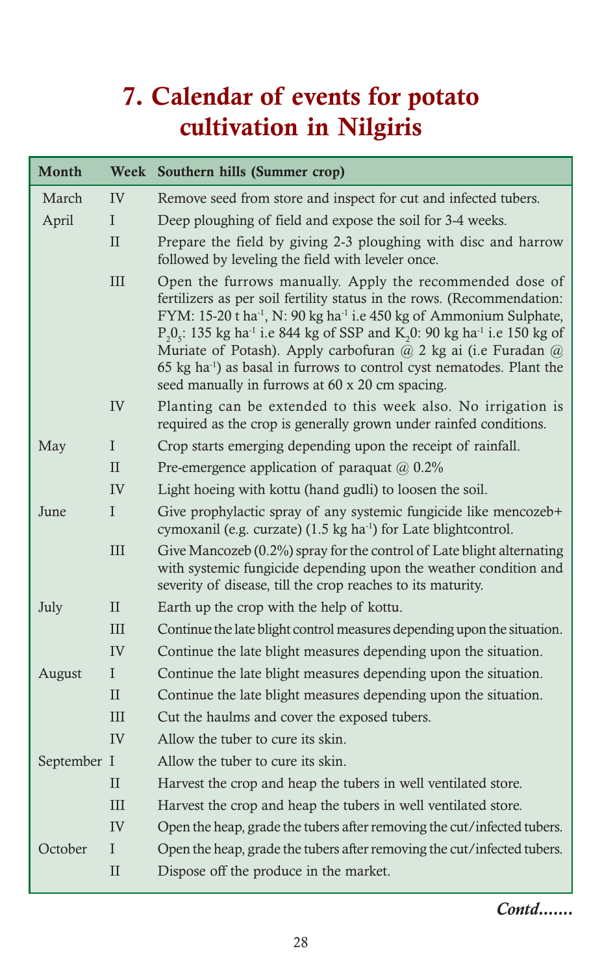# 7. Calendar of events for potato cultivation in Nilgiris

| <b>Month</b> |                   | Week Southern hills (Summer crop)                                                                                                                                                                                                                                                                                                                                                                                                                                                                                                                                                 |
|--------------|-------------------|-----------------------------------------------------------------------------------------------------------------------------------------------------------------------------------------------------------------------------------------------------------------------------------------------------------------------------------------------------------------------------------------------------------------------------------------------------------------------------------------------------------------------------------------------------------------------------------|
| March        | IV                | Remove seed from store and inspect for cut and infected tubers.                                                                                                                                                                                                                                                                                                                                                                                                                                                                                                                   |
| April        | T                 | Deep ploughing of field and expose the soil for 3-4 weeks.                                                                                                                                                                                                                                                                                                                                                                                                                                                                                                                        |
|              | $\mathbf{I}$      | Prepare the field by giving 2-3 ploughing with disc and harrow<br>followed by leveling the field with leveler once.                                                                                                                                                                                                                                                                                                                                                                                                                                                               |
|              | III               | Open the furrows manually. Apply the recommended dose of<br>fertilizers as per soil fertility status in the rows. (Recommendation:<br>FYM: 15-20 t ha <sup>-1</sup> , N: 90 kg ha <sup>-1</sup> i.e 450 kg of Ammonium Sulphate,<br>P <sub>2</sub> 0 <sub>5</sub> : 135 kg ha <sup>-1</sup> i.e 844 kg of SSP and K <sub>2</sub> 0: 90 kg ha <sup>-1</sup> i.e 150 kg of<br>Muriate of Potash). Apply carbofuran @ 2 kg ai (i.e Furadan @<br>65 kg ha <sup>-1</sup> ) as basal in furrows to control cyst nematodes. Plant the<br>seed manually in furrows at 60 x 20 cm spacing. |
|              | IV                | Planting can be extended to this week also. No irrigation is<br>required as the crop is generally grown under rainfed conditions.                                                                                                                                                                                                                                                                                                                                                                                                                                                 |
| May          | I                 | Crop starts emerging depending upon the receipt of rainfall.                                                                                                                                                                                                                                                                                                                                                                                                                                                                                                                      |
|              | $\rm II$          | Pre-emergence application of paraquat $@$ 0.2%                                                                                                                                                                                                                                                                                                                                                                                                                                                                                                                                    |
|              | IV                | Light hoeing with kottu (hand gudli) to loosen the soil.                                                                                                                                                                                                                                                                                                                                                                                                                                                                                                                          |
| June         | T                 | Give prophylactic spray of any systemic fungicide like mencozeb+<br>cymoxanil (e.g. curzate) (1.5 kg ha <sup>-1</sup> ) for Late blightcontrol.                                                                                                                                                                                                                                                                                                                                                                                                                                   |
|              | III               | Give Mancozeb (0.2%) spray for the control of Late blight alternating<br>with systemic fungicide depending upon the weather condition and<br>severity of disease, till the crop reaches to its maturity.                                                                                                                                                                                                                                                                                                                                                                          |
| July         | $\mathbf{I}$      | Earth up the crop with the help of kottu.                                                                                                                                                                                                                                                                                                                                                                                                                                                                                                                                         |
|              | <b>III</b>        | Continue the late blight control measures depending upon the situation.                                                                                                                                                                                                                                                                                                                                                                                                                                                                                                           |
|              | IV                | Continue the late blight measures depending upon the situation.                                                                                                                                                                                                                                                                                                                                                                                                                                                                                                                   |
| August       | $\mathbf{I}$      | Continue the late blight measures depending upon the situation.                                                                                                                                                                                                                                                                                                                                                                                                                                                                                                                   |
|              | $\mathbf{I}$      | Continue the late blight measures depending upon the situation.                                                                                                                                                                                                                                                                                                                                                                                                                                                                                                                   |
|              | III               | Cut the haulms and cover the exposed tubers.                                                                                                                                                                                                                                                                                                                                                                                                                                                                                                                                      |
|              | <b>IV</b>         | Allow the tuber to cure its skin.                                                                                                                                                                                                                                                                                                                                                                                                                                                                                                                                                 |
| September I  |                   | Allow the tuber to cure its skin.                                                                                                                                                                                                                                                                                                                                                                                                                                                                                                                                                 |
|              | $\mathbf{I}$      | Harvest the crop and heap the tubers in well ventilated store.                                                                                                                                                                                                                                                                                                                                                                                                                                                                                                                    |
|              | Ш                 | Harvest the crop and heap the tubers in well ventilated store.                                                                                                                                                                                                                                                                                                                                                                                                                                                                                                                    |
|              | IV                | Open the heap, grade the tubers after removing the cut/infected tubers.                                                                                                                                                                                                                                                                                                                                                                                                                                                                                                           |
| October      | T<br>$\mathbf{I}$ | Open the heap, grade the tubers after removing the cut/infected tubers.<br>Dispose off the produce in the market.                                                                                                                                                                                                                                                                                                                                                                                                                                                                 |
|              |                   |                                                                                                                                                                                                                                                                                                                                                                                                                                                                                                                                                                                   |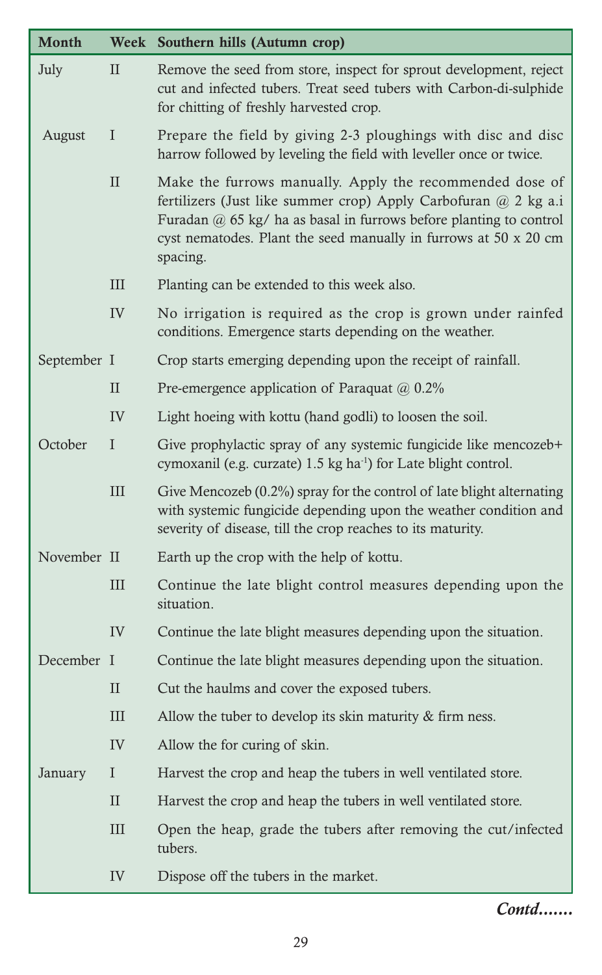| <b>Month</b> | Week         | Southern hills (Autumn crop)                                                                                                                                                                                                                                                          |
|--------------|--------------|---------------------------------------------------------------------------------------------------------------------------------------------------------------------------------------------------------------------------------------------------------------------------------------|
| July         | $\mathbf{I}$ | Remove the seed from store, inspect for sprout development, reject<br>cut and infected tubers. Treat seed tubers with Carbon-di-sulphide<br>for chitting of freshly harvested crop.                                                                                                   |
| August       | I            | Prepare the field by giving 2-3 ploughings with disc and disc<br>harrow followed by leveling the field with leveller once or twice.                                                                                                                                                   |
|              | $\rm II$     | Make the furrows manually. Apply the recommended dose of<br>fertilizers (Just like summer crop) Apply Carbofuran $@$ 2 kg a.i<br>Furadan $@$ 65 kg/ ha as basal in furrows before planting to control<br>cyst nematodes. Plant the seed manually in furrows at 50 x 20 cm<br>spacing. |
|              | Ш            | Planting can be extended to this week also.                                                                                                                                                                                                                                           |
|              | IV           | No irrigation is required as the crop is grown under rainfed<br>conditions. Emergence starts depending on the weather.                                                                                                                                                                |
| September I  |              | Crop starts emerging depending upon the receipt of rainfall.                                                                                                                                                                                                                          |
|              | $\mathbf{I}$ | Pre-emergence application of Paraquat @ 0.2%                                                                                                                                                                                                                                          |
|              | IV           | Light hoeing with kottu (hand godli) to loosen the soil.                                                                                                                                                                                                                              |
| October      | I            | Give prophylactic spray of any systemic fungicide like mencozeb+<br>cymoxanil (e.g. curzate) 1.5 kg ha <sup>-1</sup> ) for Late blight control.                                                                                                                                       |
|              | III          | Give Mencozeb (0.2%) spray for the control of late blight alternating<br>with systemic fungicide depending upon the weather condition and<br>severity of disease, till the crop reaches to its maturity.                                                                              |
| November II  |              | Earth up the crop with the help of kottu.                                                                                                                                                                                                                                             |
|              | III          | Continue the late blight control measures depending upon the<br>situation.                                                                                                                                                                                                            |
|              | IV           | Continue the late blight measures depending upon the situation.                                                                                                                                                                                                                       |
| December I   |              | Continue the late blight measures depending upon the situation.                                                                                                                                                                                                                       |
|              | П            | Cut the haulms and cover the exposed tubers.                                                                                                                                                                                                                                          |
|              | III          | Allow the tuber to develop its skin maturity & firm ness.                                                                                                                                                                                                                             |
|              | IV           | Allow the for curing of skin.                                                                                                                                                                                                                                                         |
| January      | I            | Harvest the crop and heap the tubers in well ventilated store.                                                                                                                                                                                                                        |
|              | $\rm II$     | Harvest the crop and heap the tubers in well ventilated store.                                                                                                                                                                                                                        |
|              | III          | Open the heap, grade the tubers after removing the cut/infected<br>tubers.                                                                                                                                                                                                            |
|              | IV           | Dispose off the tubers in the market.                                                                                                                                                                                                                                                 |

Contd.......